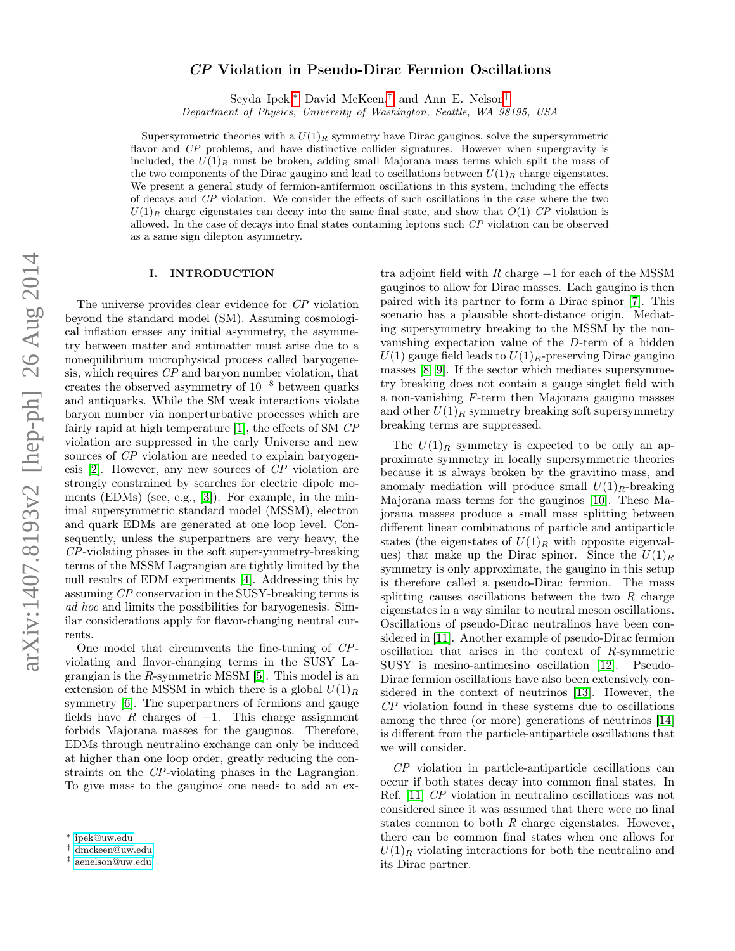# CP Violation in Pseudo-Dirac Fermion Oscillations

Seyda Ipek,[∗](#page-0-0) David McKeen,[†](#page-0-1) and Ann E. Nelson[‡](#page-0-2)

Department of Physics, University of Washington, Seattle, WA 98195, USA

Supersymmetric theories with a  $U(1)<sub>R</sub>$  symmetry have Dirac gauginos, solve the supersymmetric flavor and CP problems, and have distinctive collider signatures. However when supergravity is included, the  $U(1)<sub>R</sub>$  must be broken, adding small Majorana mass terms which split the mass of the two components of the Dirac gaugino and lead to oscillations between  $U(1)_R$  charge eigenstates. We present a general study of fermion-antifermion oscillations in this system, including the effects of decays and CP violation. We consider the effects of such oscillations in the case where the two  $U(1)_R$  charge eigenstates can decay into the same final state, and show that  $O(1)$  CP violation is allowed. In the case of decays into final states containing leptons such CP violation can be observed as a same sign dilepton asymmetry.

#### I. INTRODUCTION

The universe provides clear evidence for CP violation beyond the standard model (SM). Assuming cosmological inflation erases any initial asymmetry, the asymmetry between matter and antimatter must arise due to a nonequilibrium microphysical process called baryogenesis, which requires CP and baryon number violation, that creates the observed asymmetry of  $10^{-8}$  between quarks and antiquarks. While the SM weak interactions violate baryon number via nonperturbative processes which are fairly rapid at high temperature [\[1\]](#page-10-0), the effects of SM CP violation are suppressed in the early Universe and new sources of CP violation are needed to explain baryogenesis [\[2\]](#page-10-1). However, any new sources of CP violation are strongly constrained by searches for electric dipole moments (EDMs) (see, e.g., [\[3\]](#page-10-2)). For example, in the minimal supersymmetric standard model (MSSM), electron and quark EDMs are generated at one loop level. Consequently, unless the superpartners are very heavy, the CP-violating phases in the soft supersymmetry-breaking terms of the MSSM Lagrangian are tightly limited by the null results of EDM experiments [\[4\]](#page-10-3). Addressing this by assuming CP conservation in the SUSY-breaking terms is ad hoc and limits the possibilities for baryogenesis. Similar considerations apply for flavor-changing neutral currents.

One model that circumvents the fine-tuning of CPviolating and flavor-changing terms in the SUSY Lagrangian is the R-symmetric MSSM [\[5\]](#page-10-4). This model is an extension of the MSSM in which there is a global  $U(1)<sub>R</sub>$ symmetry [\[6\]](#page-10-5). The superpartners of fermions and gauge fields have  $R$  charges of  $+1$ . This charge assignment forbids Majorana masses for the gauginos. Therefore, EDMs through neutralino exchange can only be induced at higher than one loop order, greatly reducing the constraints on the CP-violating phases in the Lagrangian. To give mass to the gauginos one needs to add an ex-

tra adjoint field with  $R$  charge  $-1$  for each of the MSSM gauginos to allow for Dirac masses. Each gaugino is then paired with its partner to form a Dirac spinor [\[7\]](#page-10-6). This scenario has a plausible short-distance origin. Mediating supersymmetry breaking to the MSSM by the nonvanishing expectation value of the D-term of a hidden  $U(1)$  gauge field leads to  $U(1)_R$ -preserving Dirac gaugino masses [\[8,](#page-10-7) [9\]](#page-10-8). If the sector which mediates supersymmetry breaking does not contain a gauge singlet field with a non-vanishing F-term then Majorana gaugino masses and other  $U(1)<sub>R</sub>$  symmetry breaking soft supersymmetry breaking terms are suppressed.

The  $U(1)_R$  symmetry is expected to be only an approximate symmetry in locally supersymmetric theories because it is always broken by the gravitino mass, and anomaly mediation will produce small  $U(1)<sub>R</sub>$ -breaking Majorana mass terms for the gauginos [\[10\]](#page-10-9). These Majorana masses produce a small mass splitting between different linear combinations of particle and antiparticle states (the eigenstates of  $U(1)_R$  with opposite eigenvalues) that make up the Dirac spinor. Since the  $U(1)<sub>R</sub>$ symmetry is only approximate, the gaugino in this setup is therefore called a pseudo-Dirac fermion. The mass splitting causes oscillations between the two  $R$  charge eigenstates in a way similar to neutral meson oscillations. Oscillations of pseudo-Dirac neutralinos have been considered in [\[11\]](#page-10-10). Another example of pseudo-Dirac fermion oscillation that arises in the context of R-symmetric SUSY is mesino-antimesino oscillation [\[12\]](#page-10-11). Pseudo-Dirac fermion oscillations have also been extensively considered in the context of neutrinos [\[13\]](#page-10-12). However, the CP violation found in these systems due to oscillations among the three (or more) generations of neutrinos [\[14\]](#page-10-13) is different from the particle-antiparticle oscillations that we will consider.

CP violation in particle-antiparticle oscillations can occur if both states decay into common final states. In Ref. [\[11\]](#page-10-10) CP violation in neutralino oscillations was not considered since it was assumed that there were no final states common to both  $R$  charge eigenstates. However, there can be common final states when one allows for  $U(1)<sub>R</sub>$  violating interactions for both the neutralino and its Dirac partner.

<span id="page-0-0"></span><sup>∗</sup> [ipek@uw.edu](mailto:ipek@uw.edu)

<span id="page-0-1"></span><sup>†</sup> [dmckeen@uw.edu](mailto:dmckeen@uw.edu)

<span id="page-0-2"></span><sup>‡</sup> [aenelson@uw.edu](mailto:aenelson@uw.edu)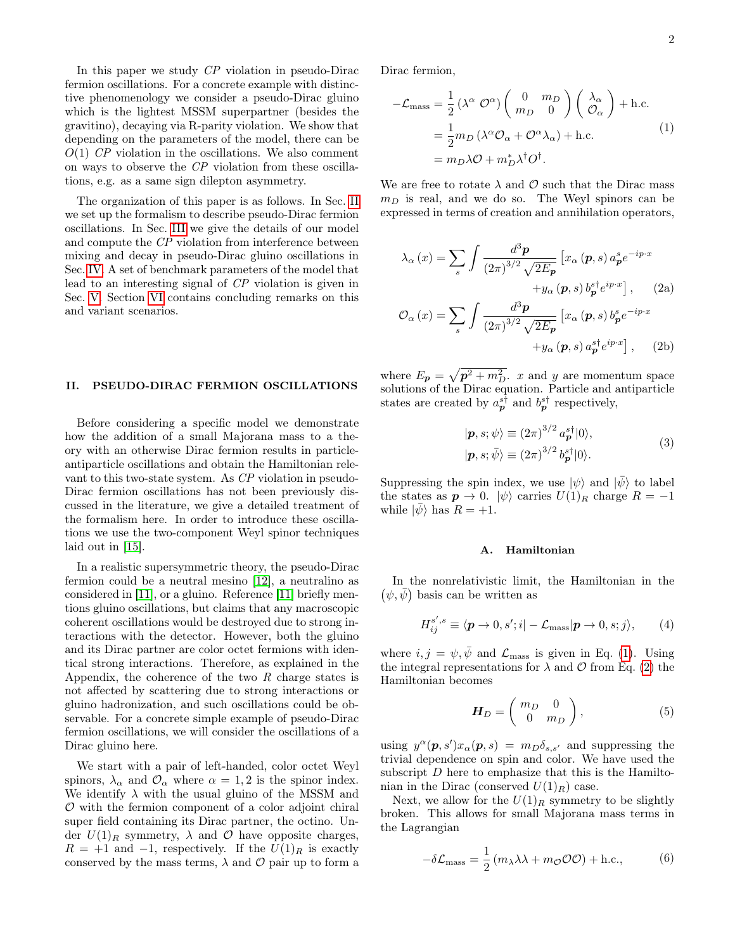In this paper we study CP violation in pseudo-Dirac fermion oscillations. For a concrete example with distinctive phenomenology we consider a pseudo-Dirac gluino which is the lightest MSSM superpartner (besides the gravitino), decaying via R-parity violation. We show that depending on the parameters of the model, there can be  $O(1)$  CP violation in the oscillations. We also comment on ways to observe the CP violation from these oscillations, e.g. as a same sign dilepton asymmetry.

The organization of this paper is as follows. In Sec. [II](#page-1-0) we set up the formalism to describe pseudo-Dirac fermion oscillations. In Sec. [III](#page-4-0) we give the details of our model and compute the CP violation from interference between mixing and decay in pseudo-Dirac gluino oscillations in Sec. [IV.](#page-7-0) A set of benchmark parameters of the model that lead to an interesting signal of CP violation is given in Sec. [V.](#page-8-0) Section [VI](#page-9-0) contains concluding remarks on this and variant scenarios.

#### <span id="page-1-0"></span>II. PSEUDO-DIRAC FERMION OSCILLATIONS

Before considering a specific model we demonstrate how the addition of a small Majorana mass to a theory with an otherwise Dirac fermion results in particleantiparticle oscillations and obtain the Hamiltonian relevant to this two-state system. As CP violation in pseudo-Dirac fermion oscillations has not been previously discussed in the literature, we give a detailed treatment of the formalism here. In order to introduce these oscillations we use the two-component Weyl spinor techniques laid out in [\[15\]](#page-10-14).

In a realistic supersymmetric theory, the pseudo-Dirac fermion could be a neutral mesino [\[12\]](#page-10-11), a neutralino as considered in [\[11\]](#page-10-10), or a gluino. Reference [\[11\]](#page-10-10) briefly mentions gluino oscillations, but claims that any macroscopic coherent oscillations would be destroyed due to strong interactions with the detector. However, both the gluino and its Dirac partner are color octet fermions with identical strong interactions. Therefore, as explained in the Appendix, the coherence of the two  $R$  charge states is not affected by scattering due to strong interactions or gluino hadronization, and such oscillations could be observable. For a concrete simple example of pseudo-Dirac fermion oscillations, we will consider the oscillations of a Dirac gluino here.

We start with a pair of left-handed, color octet Weyl spinors,  $\lambda_{\alpha}$  and  $\mathcal{O}_{\alpha}$  where  $\alpha = 1, 2$  is the spinor index. We identify  $\lambda$  with the usual gluino of the MSSM and  $\mathcal O$  with the fermion component of a color adjoint chiral super field containing its Dirac partner, the octino. Under  $U(1)_R$  symmetry,  $\lambda$  and  $\mathcal O$  have opposite charges,  $R = +1$  and  $-1$ , respectively. If the  $U(1)_R$  is exactly conserved by the mass terms,  $\lambda$  and  $\mathcal O$  pair up to form a Dirac fermion,

<span id="page-1-1"></span>
$$
-\mathcal{L}_{\text{mass}} = \frac{1}{2} (\lambda^{\alpha} \mathcal{O}^{\alpha}) \begin{pmatrix} 0 & m_D \\ m_D & 0 \end{pmatrix} \begin{pmatrix} \lambda_{\alpha} \\ \mathcal{O}_{\alpha} \end{pmatrix} + \text{h.c.}
$$
  
= 
$$
\frac{1}{2} m_D (\lambda^{\alpha} \mathcal{O}_{\alpha} + \mathcal{O}^{\alpha} \lambda_{\alpha}) + \text{h.c.}
$$
  
= 
$$
m_D \lambda \mathcal{O} + m_D^* \lambda^{\dagger} \mathcal{O}^{\dagger}.
$$
 (1)

We are free to rotate  $\lambda$  and  $\mathcal O$  such that the Dirac mass  $m_D$  is real, and we do so. The Weyl spinors can be expressed in terms of creation and annihilation operators,

<span id="page-1-2"></span>
$$
\lambda_{\alpha}(x) = \sum_{s} \int \frac{d^{3}p}{(2\pi)^{3/2} \sqrt{2E_{p}}} \left[ x_{\alpha} (p, s) a_{p}^{s} e^{-ip \cdot x} + y_{\alpha} (p, s) b_{p}^{s \dagger} e^{ip \cdot x} \right], \quad (2a)
$$

$$
\mathcal{O}_{\alpha}(x) = \sum_{s} \int \frac{d^{3}p}{(2\pi)^{3/2} \sqrt{2E_{p}}} \left[ x_{\alpha} (p, s) b_{p}^{s} e^{-ip \cdot x} + y_{\alpha} (p, s) a_{p}^{s \dagger} e^{ip \cdot x} \right], \quad (2b)
$$

where  $E_p = \sqrt{p^2 + m_D^2}$ , x and y are momentum space solutions of the Dirac equation. Particle and antiparticle states are created by  $a_p^{s\dagger}$  and  $b_p^{s\dagger}$  respectively,

<span id="page-1-3"></span>
$$
|\mathbf{p}, s; \psi\rangle \equiv (2\pi)^{3/2} a_{\mathbf{p}}^{s\dagger} |0\rangle, |\mathbf{p}, s; \bar{\psi}\rangle \equiv (2\pi)^{3/2} b_{\mathbf{p}}^{s\dagger} |0\rangle.
$$
 (3)

Suppressing the spin index, we use  $|\psi\rangle$  and  $|\bar{\psi}\rangle$  to label the states as  $p \to 0$ .  $|\psi\rangle$  carries  $U(1)_R$  charge  $R = -1$ while  $|\psi\rangle$  has  $R = +1$ .

#### A. Hamiltonian

In the nonrelativistic limit, the Hamiltonian in the  $(\psi, \bar{\psi})$  basis can be written as

$$
H_{ij}^{s',s} \equiv \langle \mathbf{p} \to 0, s'; i| - \mathcal{L}_{\text{mass}} | \mathbf{p} \to 0, s; j \rangle, \qquad (4)
$$

where  $i, j = \psi, \bar{\psi}$  and  $\mathcal{L}_{\text{mass}}$  is given in Eq. [\(1\)](#page-1-1). Using the integral representations for  $\lambda$  and  $\mathcal O$  from Eq. [\(2\)](#page-1-2) the Hamiltonian becomes

$$
\boldsymbol{H}_D = \left( \begin{array}{cc} m_D & 0 \\ 0 & m_D \end{array} \right),\tag{5}
$$

using  $y^{\alpha}(\mathbf{p}, s')x_{\alpha}(\mathbf{p}, s) = m_D \delta_{s,s'}$  and suppressing the trivial dependence on spin and color. We have used the subscript  $D$  here to emphasize that this is the Hamiltonian in the Dirac (conserved  $U(1)<sub>R</sub>$ ) case.

Next, we allow for the  $U(1)<sub>R</sub>$  symmetry to be slightly broken. This allows for small Majorana mass terms in the Lagrangian

$$
-\delta \mathcal{L}_{\text{mass}} = \frac{1}{2} \left( m_{\lambda} \lambda + m_{\mathcal{O}} \mathcal{O} \mathcal{O} \right) + \text{h.c.}, \tag{6}
$$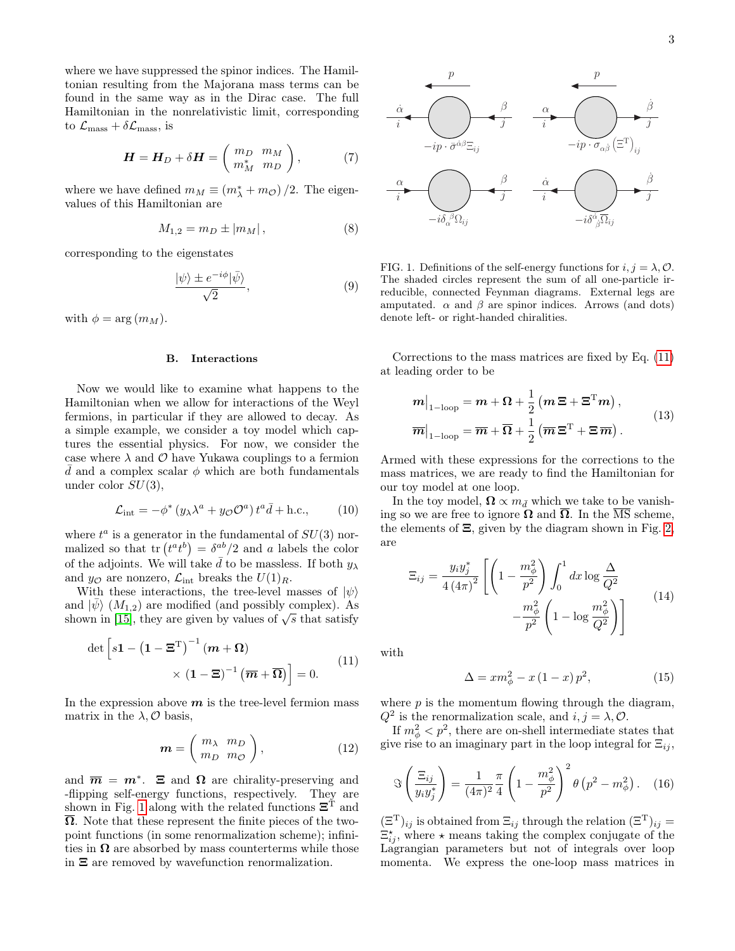where we have suppressed the spinor indices. The Hamiltonian resulting from the Majorana mass terms can be found in the same way as in the Dirac case. The full Hamiltonian in the nonrelativistic limit, corresponding to  $\mathcal{L}_{\text{mass}} + \delta \mathcal{L}_{\text{mass}}$ , is

$$
\boldsymbol{H} = \boldsymbol{H}_D + \delta \boldsymbol{H} = \left( \begin{array}{cc} m_D & m_M \\ m_M^* & m_D \end{array} \right),\tag{7}
$$

where we have defined  $m_M \equiv (m_\lambda^* + m_\mathcal{O})/2$ . The eigenvalues of this Hamiltonian are

$$
M_{1,2} = m_D \pm |m_M| \,, \tag{8}
$$

corresponding to the eigenstates

$$
\frac{|\psi\rangle \pm e^{-i\phi}|\bar{\psi}\rangle}{\sqrt{2}},\tag{9}
$$

with  $\phi = \arg(m_M)$ .

# B. Interactions

Now we would like to examine what happens to the Hamiltonian when we allow for interactions of the Weyl fermions, in particular if they are allowed to decay. As a simple example, we consider a toy model which captures the essential physics. For now, we consider the case where  $\lambda$  and  $\mathcal O$  have Yukawa couplings to a fermion d and a complex scalar  $\phi$  which are both fundamentals under color  $SU(3)$ ,

$$
\mathcal{L}_{\text{int}} = -\phi^* \left( y_\lambda \lambda^a + y_\mathcal{O} \mathcal{O}^a \right) t^a \bar{d} + \text{h.c.}, \tag{10}
$$

where  $t^a$  is a generator in the fundamental of  $SU(3)$  normalized so that  $\text{tr}(t^a t^b) = \delta^{ab}/2$  and a labels the color of the adjoints. We will take  $\bar{d}$  to be massless. If both  $y_{\lambda}$ and  $y_{\mathcal{O}}$  are nonzero,  $\mathcal{L}_{int}$  breaks the  $U(1)_R$ .

With these interactions, the tree-level masses of  $|\psi\rangle$ and  $|\psi\rangle$  ( $M_{1,2}$ ) are modified (and possibly complex). As shown in [\[15\]](#page-10-14), they are given by values of  $\sqrt{s}$  that satisfy

<span id="page-2-1"></span>
$$
\det \left[ s\mathbf{1} - \left( \mathbf{1} - \mathbf{\Xi}^{\mathrm{T}} \right)^{-1} \left( m + \Omega \right) \times \left( \mathbf{1} - \mathbf{\Xi} \right)^{-1} \left( \overline{m} + \overline{\Omega} \right) \right] = 0.
$$
\n(11)

In the expression above  $m$  is the tree-level fermion mass matrix in the  $\lambda$ ,  $\mathcal{O}$  basis,

$$
\mathbf{m} = \left(\begin{array}{cc} m_{\lambda} & m_D \\ m_D & m_{\mathcal{O}} \end{array}\right),\tag{12}
$$

and  $\overline{m} = m^*$ .  $\Xi$  and  $\Omega$  are chirality-preserving and -flipping self-energy functions, respectively. They are shown in Fig. [1](#page-2-0) along with the related functions  $\Xi$ <sup>T</sup> and  $\overline{\Omega}$ . Note that these represent the finite pieces of the twopoint functions (in some renormalization scheme); infinities in  $\Omega$  are absorbed by mass counterterms while those in Ξ are removed by wavefunction renormalization.

<span id="page-2-4"></span>

<span id="page-2-0"></span>FIG. 1. Definitions of the self-energy functions for  $i, j = \lambda, \mathcal{O}$ . The shaded circles represent the sum of all one-particle irreducible, connected Feynman diagrams. External legs are amputated.  $\alpha$  and  $\beta$  are spinor indices. Arrows (and dots) denote left- or right-handed chiralities.

Corrections to the mass matrices are fixed by Eq. [\(11\)](#page-2-1) at leading order to be

<span id="page-2-3"></span>
$$
m|_{1-\text{loop}} = m + \Omega + \frac{1}{2} (m \Xi + \Xi^{\text{T}} m),
$$
  

$$
\overline{m}|_{1-\text{loop}} = \overline{m} + \overline{\Omega} + \frac{1}{2} (\overline{m} \Xi^{\text{T}} + \Xi \overline{m}).
$$
 (13)

Armed with these expressions for the corrections to the mass matrices, we are ready to find the Hamiltonian for our toy model at one loop.

<span id="page-2-2"></span>In the toy model,  $\mathbf{\Omega} \propto m_{\bar{d}}$  which we take to be vanishing so we are free to ignore  $\Omega$  and  $\overline{\Omega}$ . In the  $\overline{\text{MS}}$  scheme, the elements of  $\Xi$ , given by the diagram shown in Fig. [2,](#page-3-0) are

$$
\Xi_{ij} = \frac{y_i y_j^*}{4 (4\pi)^2} \left[ \left( 1 - \frac{m_\phi^2}{p^2} \right) \int_0^1 dx \log \frac{\Delta}{Q^2} - \frac{m_\phi^2}{p^2} \left( 1 - \log \frac{m_\phi^2}{Q^2} \right) \right]
$$
\n(14)

with

$$
\Delta = x m_{\phi}^{2} - x (1 - x) p^{2}, \qquad (15)
$$

where  $p$  is the momentum flowing through the diagram,  $Q^2$  is the renormalization scale, and  $i, j = \lambda, \mathcal{O}$ .

If  $m_{\phi}^2 < p^2$ , there are on-shell intermediate states that give rise to an imaginary part in the loop integral for  $\Xi_{ij}$ ,

$$
\Im\left(\frac{\Xi_{ij}}{y_i y_j^*}\right) = \frac{1}{(4\pi)^2} \frac{\pi}{4} \left(1 - \frac{m_\phi^2}{p^2}\right)^2 \theta(p^2 - m_\phi^2). \quad (16)
$$

 $(\Xi^{\mathrm{T}})_{ij}$  is obtained from  $\Xi_{ij}$  through the relation  $(\Xi^{\mathrm{T}})_{ij} =$  $\Xi_{ij}^{\star}$ , where  $\star$  means taking the complex conjugate of the Lagrangian parameters but not of integrals over loop momenta. We express the one-loop mass matrices in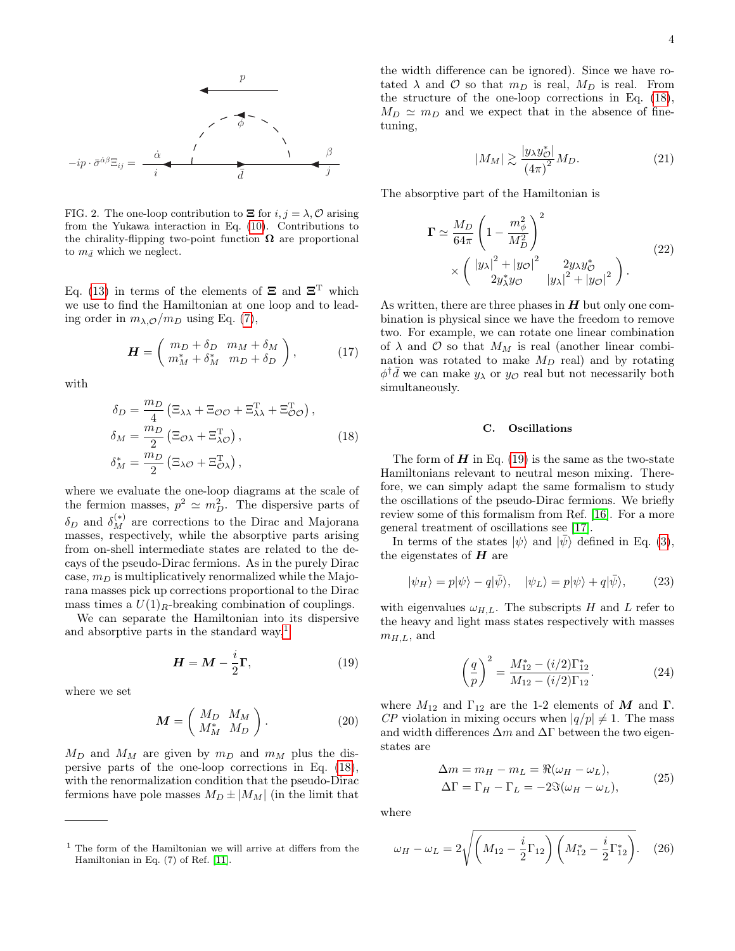

<span id="page-3-0"></span>FIG. 2. The one-loop contribution to  $\Xi$  for  $i, j = \lambda, \mathcal{O}$  arising from the Yukawa interaction in Eq. [\(10\)](#page-2-2). Contributions to the chirality-flipping two-point function  $\Omega$  are proportional to  $m_{\bar{d}}$  which we neglect.

Eq. [\(13\)](#page-2-3) in terms of the elements of  $\Xi$  and  $\Xi$ <sup>T</sup> which we use to find the Hamiltonian at one loop and to leading order in  $m_{\lambda,\mathcal{O}}/m_D$  using Eq. [\(7\)](#page-2-4),

$$
\boldsymbol{H} = \left( \begin{array}{cc} m_D + \delta_D & m_M + \delta_M \\ m_M^* + \delta_M^* & m_D + \delta_D \end{array} \right), \tag{17}
$$

with

<span id="page-3-2"></span>
$$
\delta_D = \frac{m_D}{4} \left( \Xi_{\lambda\lambda} + \Xi_{\mathcal{O}\mathcal{O}} + \Xi_{\lambda\lambda}^{\mathrm{T}} + \Xi_{\mathcal{O}\mathcal{O}}^{\mathrm{T}} \right),
$$
  
\n
$$
\delta_M = \frac{m_D}{2} \left( \Xi_{\mathcal{O}\lambda} + \Xi_{\lambda\mathcal{O}}^{\mathrm{T}} \right),
$$
  
\n
$$
\delta_M^* = \frac{m_D}{2} \left( \Xi_{\lambda\mathcal{O}} + \Xi_{\mathcal{O}\lambda}^{\mathrm{T}} \right),
$$
\n(18)

where we evaluate the one-loop diagrams at the scale of the fermion masses,  $p^2 \simeq m_D^2$ . The dispersive parts of  $\delta_D$  and  $\delta_M^{(*)}$  are corrections to the Dirac and Majorana masses, respectively, while the absorptive parts arising from on-shell intermediate states are related to the decays of the pseudo-Dirac fermions. As in the purely Dirac case,  $m_D$  is multiplicatively renormalized while the Majorana masses pick up corrections proportional to the Dirac mass times a  $U(1)<sub>R</sub>$ -breaking combination of couplings.

We can separate the Hamiltonian into its dispersive and absorptive parts in the standard way, $<sup>1</sup>$  $<sup>1</sup>$  $<sup>1</sup>$ </sup>

$$
\mathbf{H} = \mathbf{M} - \frac{i}{2}\mathbf{\Gamma},\tag{19}
$$

where we set

$$
\mathbf{M} = \left( \begin{array}{cc} M_D & M_M \\ M_M^* & M_D \end{array} \right). \tag{20}
$$

 $M_D$  and  $M_M$  are given by  $m_D$  and  $m_M$  plus the dispersive parts of the one-loop corrections in Eq. [\(18\)](#page-3-2), with the renormalization condition that the pseudo-Dirac fermions have pole masses  $M_D \pm |M_M|$  (in the limit that the width difference can be ignored). Since we have rotated  $\lambda$  and  $\mathcal O$  so that  $m_D$  is real,  $M_D$  is real. From the structure of the one-loop corrections in Eq. [\(18\)](#page-3-2),  $M_D \simeq m_D$  and we expect that in the absence of finetuning,

$$
|M_M| \gtrsim \frac{|y_\lambda y_\mathcal{O}^*|}{(4\pi)^2} M_D. \tag{21}
$$

The absorptive part of the Hamiltonian is

$$
\Gamma \simeq \frac{M_D}{64\pi} \left( 1 - \frac{m_\phi^2}{M_D^2} \right)^2
$$
  
 
$$
\times \left( \frac{|y_\lambda|^2 + |y_\mathcal{O}|^2}{2y_\lambda^* y_\mathcal{O}} - \frac{2y_\lambda y_\mathcal{O}^*}{|y_\lambda|^2 + |y_\mathcal{O}|^2} \right).
$$
 (22)

As written, there are three phases in  $H$  but only one combination is physical since we have the freedom to remove two. For example, we can rotate one linear combination of  $\lambda$  and  $\mathcal O$  so that  $M_M$  is real (another linear combination was rotated to make  $M_D$  real) and by rotating  $\phi^{\dagger} \bar{d}$  we can make  $y_{\lambda}$  or  $y_{\mathcal{O}}$  real but not necessarily both simultaneously.

## C. Oscillations

The form of  $H$  in Eq. [\(19\)](#page-3-3) is the same as the two-state Hamiltonians relevant to neutral meson mixing. Therefore, we can simply adapt the same formalism to study the oscillations of the pseudo-Dirac fermions. We briefly review some of this formalism from Ref. [\[16\]](#page-10-15). For a more general treatment of oscillations see [\[17\]](#page-10-16).

In terms of the states  $|\psi\rangle$  and  $|\bar{\psi}\rangle$  defined in Eq. [\(3\)](#page-1-3), the eigenstates of  $H$  are

$$
|\psi_H\rangle = p|\psi\rangle - q|\bar{\psi}\rangle, \quad |\psi_L\rangle = p|\psi\rangle + q|\bar{\psi}\rangle, \tag{23}
$$

<span id="page-3-3"></span>with eigenvalues  $\omega_{H,L}$ . The subscripts H and L refer to the heavy and light mass states respectively with masses  $m_{H,L}$ , and

$$
\left(\frac{q}{p}\right)^2 = \frac{M_{12}^* - (i/2)\Gamma_{12}^*}{M_{12} - (i/2)\Gamma_{12}}.
$$
\n(24)

where  $M_{12}$  and  $\Gamma_{12}$  are the 1-2 elements of M and  $\Gamma$ . CP violation in mixing occurs when  $|q/p| \neq 1$ . The mass and width differences  $\Delta m$  and  $\Delta \Gamma$  between the two eigenstates are

$$
\Delta m = m_H - m_L = \Re(\omega_H - \omega_L),
$$
  
\n
$$
\Delta \Gamma = \Gamma_H - \Gamma_L = -2\Im(\omega_H - \omega_L),
$$
\n(25)

where

$$
\omega_H - \omega_L = 2\sqrt{\left(M_{12} - \frac{i}{2}\Gamma_{12}\right)\left(M_{12}^* - \frac{i}{2}\Gamma_{12}^*\right)}.
$$
 (26)

<span id="page-3-1"></span><sup>1</sup> The form of the Hamiltonian we will arrive at differs from the Hamiltonian in Eq. (7) of Ref. [\[11\]](#page-10-10).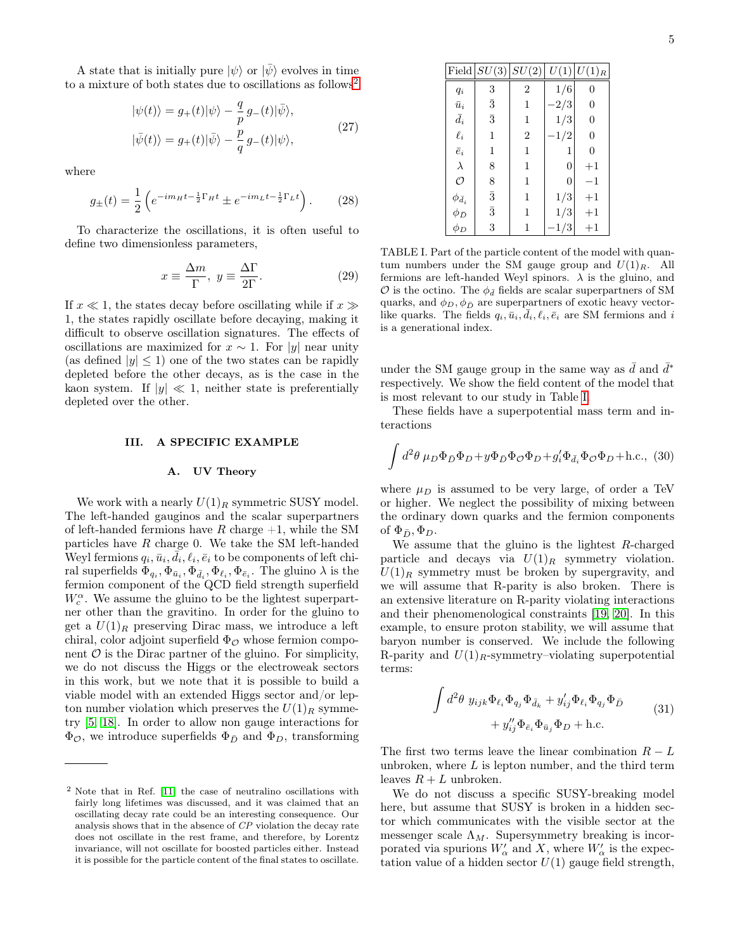A state that is initially pure  $|\psi\rangle$  or  $|\bar{\psi}\rangle$  evolves in time to a mixture of both states due to oscillations as follows<sup>[2](#page-4-1)</sup>

<span id="page-4-3"></span>
$$
|\psi(t)\rangle = g_+(t)|\psi\rangle - \frac{q}{p}g_-(t)|\bar{\psi}\rangle,
$$
  

$$
|\bar{\psi}(t)\rangle = g_+(t)|\bar{\psi}\rangle - \frac{p}{q}g_-(t)|\psi\rangle,
$$
 (27)

where

$$
g_{\pm}(t) = \frac{1}{2} \left( e^{-im_H t - \frac{1}{2} \Gamma_H t} \pm e^{-im_L t - \frac{1}{2} \Gamma_L t} \right). \tag{28}
$$

To characterize the oscillations, it is often useful to define two dimensionless parameters,

$$
x \equiv \frac{\Delta m}{\Gamma}, \ y \equiv \frac{\Delta \Gamma}{2\Gamma}.
$$
 (29)

If  $x \ll 1$ , the states decay before oscillating while if  $x \gg$ 1, the states rapidly oscillate before decaying, making it difficult to observe oscillation signatures. The effects of oscillations are maximized for  $x \sim 1$ . For |y| near unity (as defined  $|y| \leq 1$ ) one of the two states can be rapidly depleted before the other decays, as is the case in the kaon system. If  $|y| \ll 1$ , neither state is preferentially depleted over the other.

#### <span id="page-4-0"></span>III. A SPECIFIC EXAMPLE

#### A. UV Theory

We work with a nearly  $U(1)_R$  symmetric SUSY model. The left-handed gauginos and the scalar superpartners of left-handed fermions have R charge  $+1$ , while the SM particles have R charge 0. We take the SM left-handed Weyl fermions  $q_i, \bar{u}_i, \vec{d}_i, \ell_i, \bar{e}_i$  to be components of left chiral superfields  $\Phi_{q_i}, \Phi_{\bar{u}_i}, \Phi_{\bar{d}_i}, \Phi_{\ell_i}, \Phi_{\bar{e}_i}$ . The gluino  $\lambda$  is the fermion component of the QCD field strength superfield  $W_c^{\alpha}$ . We assume the gluino to be the lightest superpartner other than the gravitino. In order for the gluino to get a  $U(1)_R$  preserving Dirac mass, we introduce a left chiral, color adjoint superfield  $\Phi_{\mathcal{O}}$  whose fermion component  $\mathcal O$  is the Dirac partner of the gluino. For simplicity, we do not discuss the Higgs or the electroweak sectors in this work, but we note that it is possible to build a viable model with an extended Higgs sector and/or lepton number violation which preserves the  $U(1)_R$  symmetry [\[5,](#page-10-4) [18\]](#page-10-17). In order to allow non gauge interactions for  $\Phi_{\mathcal{O}}$ , we introduce superfields  $\Phi_{\bar{D}}$  and  $\Phi_{D}$ , transforming

|                    | Field $SU(3)$ $SU(2)$ |                | U(1)           | $ U(1)_R$      |
|--------------------|-----------------------|----------------|----------------|----------------|
| $q_i$              | 3                     | $\overline{2}$ | 1/6            | $\overline{0}$ |
| $\bar{u}_i$        | $\bar{3}$             | 1              | $-2/3$         | $\overline{0}$ |
| $\bar{d}_i$        | $\bar{3}$             | 1              | 1/3            | $\overline{0}$ |
| $\ell_i$           | 1                     | $\overline{2}$ | $-1/2$         | $\overline{0}$ |
| $\bar{e}_i$        | 1                     | 1              | 1              | $\overline{0}$ |
| $\lambda$          | 8                     | 1              | $\overline{0}$ | $+1$           |
| O                  | 8                     | 1              | 0              | $^{-1}$        |
| $\phi_{\bar{d}_i}$ | $\bar{3}$             | 1              | 1/3            | $+1$           |
| $\phi_{\bar{D}}$   | $\bar{3}$             | 1              | 1/3            | $+1$           |
| $\phi_D$           | 3                     | 1              | 1/3            | $+1$           |

<span id="page-4-4"></span><span id="page-4-2"></span>TABLE I. Part of the particle content of the model with quantum numbers under the SM gauge group and  $U(1)_R$ . All fermions are left-handed Weyl spinors.  $\lambda$  is the gluino, and  $\mathcal O$  is the octino. The  $\phi_{\bar{d}}$  fields are scalar superpartners of SM quarks, and  $\phi_D, \phi_{\bar{D}}$  are superpartners of exotic heavy vectorlike quarks. The fields  $q_i, \bar{u}_i, \bar{d}_i, \ell_i, \bar{e}_i$  are SM fermions and i is a generational index.

under the SM gauge group in the same way as  $\bar{d}$  and  $\bar{d}^*$ respectively. We show the field content of the model that is most relevant to our study in Table [I.](#page-4-2)

These fields have a superpotential mass term and interactions

$$
\int d^2\theta \,\mu_D \Phi_{\bar{D}} \Phi_D + y \Phi_{\bar{D}} \Phi_{\mathcal{O}} \Phi_D + g_i' \Phi_{\bar{d}_i} \Phi_{\mathcal{O}} \Phi_D + \text{h.c.},\,\,(30)
$$

where  $\mu_D$  is assumed to be very large, of order a TeV or higher. We neglect the possibility of mixing between the ordinary down quarks and the fermion components of  $\Phi_{\bar{D}}, \Phi_{D}$ .

We assume that the gluino is the lightest R-charged particle and decays via  $U(1)_R$  symmetry violation.  $U(1)_R$  symmetry must be broken by supergravity, and we will assume that R-parity is also broken. There is an extensive literature on R-parity violating interactions and their phenomenological constraints [\[19,](#page-10-18) [20\]](#page-10-19). In this example, to ensure proton stability, we will assume that baryon number is conserved. We include the following R-parity and  $U(1)_R$ -symmetry–violating superpotential terms:

$$
\int d^2\theta \ y_{ijk}\Phi_{\ell_i}\Phi_{q_j}\Phi_{\bar{d}_k} + y'_{ij}\Phi_{\ell_i}\Phi_{q_j}\Phi_{\bar{D}} + y''_{ij}\Phi_{\bar{e}_i}\Phi_{\bar{u}_j}\Phi_{D} + \text{h.c.}
$$
\n(31)

The first two terms leave the linear combination  $R - L$ unbroken, where  $L$  is lepton number, and the third term leaves  $R + L$  unbroken.

We do not discuss a specific SUSY-breaking model here, but assume that SUSY is broken in a hidden sector which communicates with the visible sector at the messenger scale  $\Lambda_M$ . Supersymmetry breaking is incorporated via spurions  $W'_\n\alpha$  and X, where  $W'_\n\alpha$  is the expectation value of a hidden sector  $U(1)$  gauge field strength,

<span id="page-4-1"></span><sup>2</sup> Note that in Ref. [\[11\]](#page-10-10) the case of neutralino oscillations with fairly long lifetimes was discussed, and it was claimed that an oscillating decay rate could be an interesting consequence. Our analysis shows that in the absence of CP violation the decay rate does not oscillate in the rest frame, and therefore, by Lorentz invariance, will not oscillate for boosted particles either. Instead it is possible for the particle content of the final states to oscillate.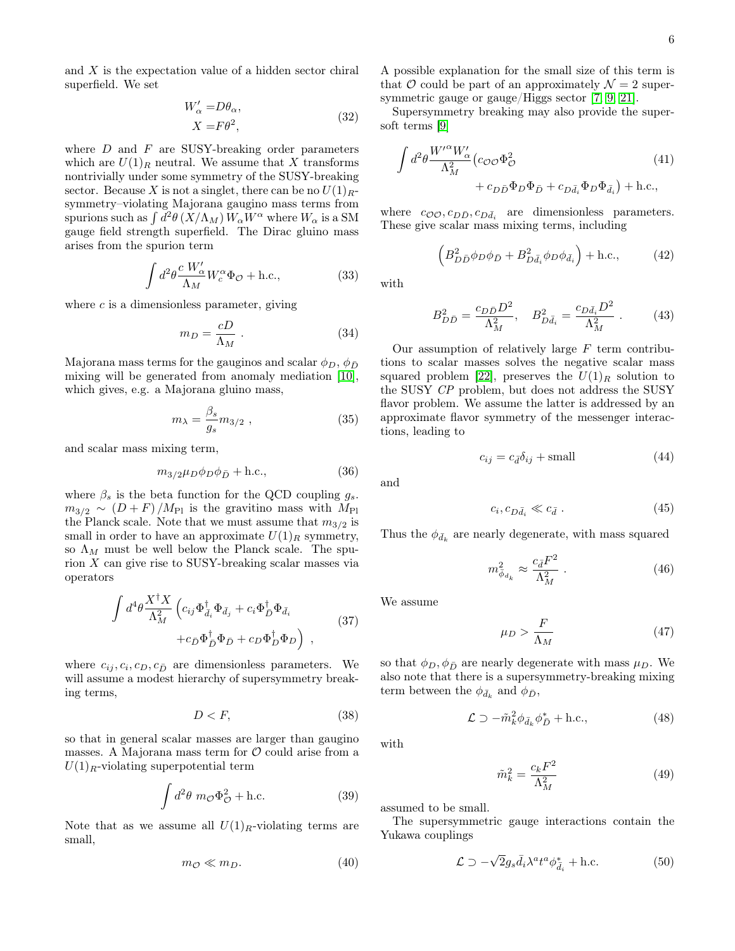and X is the expectation value of a hidden sector chiral superfield. We set

$$
W'_{\alpha} = D\theta_{\alpha},
$$
  
\n
$$
X = F\theta^2,
$$
\n(32)

where  $D$  and  $F$  are SUSY-breaking order parameters which are  $U(1)_R$  neutral. We assume that X transforms nontrivially under some symmetry of the SUSY-breaking sector. Because X is not a singlet, there can be no  $U(1)<sub>R</sub>$ symmetry–violating Majorana gaugino mass terms from spurions such as  $\int d^2\theta \, (X/\Lambda_M) \, W_\alpha W^\alpha$  where  $W_\alpha$  is a SM gauge field strength superfield. The Dirac gluino mass arises from the spurion term

$$
\int d^2\theta \frac{c W_{\alpha}'}{\Lambda_M} W_c^{\alpha} \Phi_{\mathcal{O}} + \text{h.c.},\tag{33}
$$

where  $c$  is a dimensionless parameter, giving

<span id="page-5-0"></span>
$$
m_D = \frac{cD}{\Lambda_M} \ . \tag{34}
$$

Majorana mass terms for the gauginos and scalar  $\phi_D$ ,  $\phi_{\bar{D}}$ mixing will be generated from anomaly mediation [\[10\]](#page-10-9), which gives, e.g. a Majorana gluino mass,

<span id="page-5-1"></span>
$$
m_{\lambda} = \frac{\beta_s}{g_s} m_{3/2} \tag{35}
$$

and scalar mass mixing term,

$$
m_{3/2}\mu_D\phi_D\phi_{\bar{D}} + \text{h.c.},\tag{36}
$$

where  $\beta_s$  is the beta function for the QCD coupling  $g_s$ .  $m_{3/2} \sim (D + F)/M_{\text{Pl}}$  is the gravitino mass with  $M_{\text{Pl}}$ the Planck scale. Note that we must assume that  $m_{3/2}$  is small in order to have an approximate  $U(1)_R$  symmetry, so  $\Lambda_M$  must be well below the Planck scale. The spurion X can give rise to SUSY-breaking scalar masses via operators

$$
\int d^4\theta \frac{X^{\dagger} X}{\Lambda_M^2} \left( c_{ij} \Phi_{\bar{d}_i}^{\dagger} \Phi_{\bar{d}_j} + c_i \Phi_{\bar{D}}^{\dagger} \Phi_{\bar{d}_i} + c_{\bar{D}} \Phi_{\bar{D}}^{\dagger} \Phi_{\bar{D}} + c_D \Phi_{\bar{D}}^{\dagger} \Phi_{D} \right) ,
$$
\n(37)

where  $c_{ij}, c_i, c_D, c_{\bar{D}}$  are dimensionless parameters. We will assume a modest hierarchy of supersymmetry breaking terms,

$$
D < F,\tag{38}
$$

so that in general scalar masses are larger than gaugino masses. A Majorana mass term for  $\mathcal O$  could arise from a  $U(1)<sub>R</sub>$ -violating superpotential term

<span id="page-5-2"></span>
$$
\int d^2\theta \ m_{\mathcal{O}} \Phi_{\mathcal{O}}^2 + \text{h.c.}
$$
 (39)

Note that as we assume all  $U(1)_R$ -violating terms are small,

$$
m_{\mathcal{O}} \ll m_D. \tag{40}
$$

A possible explanation for the small size of this term is that O could be part of an approximately  $\mathcal{N}=2$  supersymmetric gauge or gauge/Higgs sector [\[7,](#page-10-6) [9,](#page-10-8) [21\]](#page-10-20).

Supersymmetry breaking may also provide the supersoft terms [\[9\]](#page-10-8)

$$
\int d^2\theta \frac{W^{\prime \alpha} W_{\alpha}'}{\Lambda_M^2} (c_{\mathcal{O}\mathcal{O}} \Phi_{\mathcal{O}}^2 + c_{D\bar{d}_1} \Phi_{D} \Phi_{\bar{d}_1}) + \text{h.c.},
$$
\n(41)

where  $c_{\mathcal{O}\mathcal{O}}$ ,  $c_{D\bar{D}}$ ,  $c_{D\bar{d}_i}$  are dimensionless parameters. These give scalar mass mixing terms, including

$$
\left(B_{D\bar{D}}^2\phi_D\phi_{\bar{D}} + B_{D\bar{d}_i}^2\phi_D\phi_{\bar{d}_i}\right) + \text{h.c.},\tag{42}
$$

with

$$
B_{D\bar{D}}^2 = \frac{c_{D\bar{D}}D^2}{\Lambda_M^2}, \quad B_{D\bar{d}_i}^2 = \frac{c_{D\bar{d}_i}D^2}{\Lambda_M^2} \ . \tag{43}
$$

Our assumption of relatively large  $F$  term contributions to scalar masses solves the negative scalar mass squared problem [\[22\]](#page-10-21), preserves the  $U(1)_R$  solution to the SUSY CP problem, but does not address the SUSY flavor problem. We assume the latter is addressed by an approximate flavor symmetry of the messenger interactions, leading to

$$
c_{ij} = c_{\bar{d}} \delta_{ij} + \text{small} \tag{44}
$$

and

$$
c_i, c_{D\bar{d}_i} \ll c_{\bar{d}}.
$$
\n
$$
(45)
$$

Thus the  $\phi_{\bar{d}_k}$  are nearly degenerate, with mass squared

$$
m_{\bar{\phi}_{d_k}}^2 \approx \frac{c_{\bar{d}} F^2}{\Lambda_M^2} \ . \tag{46}
$$

We assume

$$
\mu_D > \frac{F}{\Lambda_M} \tag{47}
$$

so that  $\phi_D, \phi_{\bar{D}}$  are nearly degenerate with mass  $\mu_D$ . We also note that there is a supersymmetry-breaking mixing term between the  $\phi_{\bar{d}_k}$  and  $\phi_{\bar{D}}$ ,

$$
\mathcal{L} \supset -\tilde{m}_k^2 \phi_{\bar{d}_k} \phi_{\bar{D}}^* + \text{h.c.},\tag{48}
$$

with

$$
\tilde{m}_k^2 = \frac{c_k F^2}{\Lambda_M^2} \tag{49}
$$

assumed to be small.

The supersymmetric gauge interactions contain the Yukawa couplings

$$
\mathcal{L} \supset -\sqrt{2}g_s\bar{d}_i\lambda^at^a\phi_{\bar{d}_i}^* + \text{h.c.}
$$
 (50)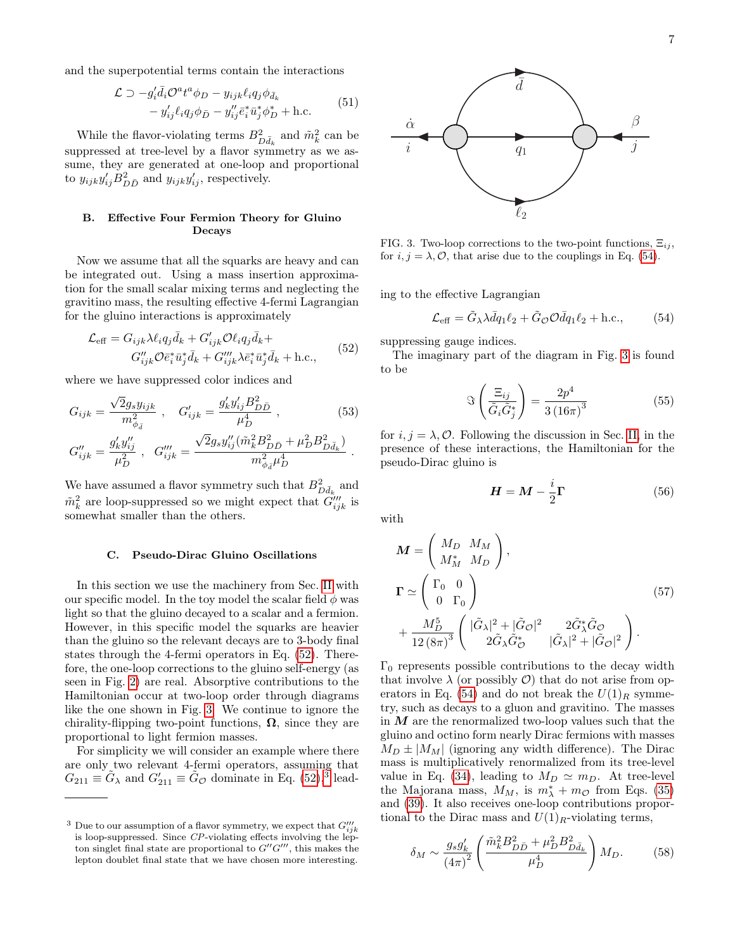and the superpotential terms contain the interactions

$$
\mathcal{L} \supset -g_i' \bar{d}_i \mathcal{O}^a t^a \phi_D - y_{ijk} \ell_i q_j \phi_{\bar{d}_k} \n- y_{ij}' \ell_i q_j \phi_{\bar{D}} - y_{ij}'' \bar{e}_i^* \bar{u}_j^* \phi_D^* + \text{h.c.}
$$
\n(51)

While the flavor-violating terms  $B_{D\bar{d}_k}^2$  and  $\tilde{m}_k^2$  can be suppressed at tree-level by a flavor symmetry as we assume, they are generated at one-loop and proportional to  $y_{ijk}y'_{ij}B^2_{D\bar{D}}$  and  $y_{ijk}y'_{ij}$ , respectively.

# B. Effective Four Fermion Theory for Gluino Decays

Now we assume that all the squarks are heavy and can be integrated out. Using a mass insertion approximation for the small scalar mixing terms and neglecting the gravitino mass, the resulting effective 4-fermi Lagrangian for the gluino interactions is approximately

<span id="page-6-0"></span>
$$
\mathcal{L}_{\text{eff}} = G_{ijk} \lambda \ell_i q_j \bar{d}_k + G'_{ijk} \mathcal{O} \ell_i q_j \bar{d}_k +
$$
  

$$
G''_{ijk} \mathcal{O} \bar{e}_i^* \bar{u}_j^* \bar{d}_k + G'''_{ijk} \lambda \bar{e}_i^* \bar{u}_j^* \bar{d}_k + \text{h.c.},
$$
 (52)

where we have suppressed color indices and

$$
G_{ijk} = \frac{\sqrt{2}g_s y_{ijk}}{m_{\phi_d}^2} , \quad G'_{ijk} = \frac{g'_k y'_{ij} B_{D\bar{D}}^2}{\mu_D^4} , \qquad (53)
$$

$$
G_{ijk}^{\prime\prime}=\frac{g_{k}^{\prime}y_{ij}^{\prime\prime}}{\mu_{D}^{2}}~,~~G_{ijk}^{\prime\prime\prime}=\frac{\sqrt{2}g_{s}y_{ij}^{\prime\prime}(\tilde{m}_{k}^{2}B_{D\bar{D}}^{2}+\mu_{D}^{2}B_{D\bar{d}_{k}}^{2})}{m_{\phi_{\bar{d}}}^{2}\mu_{D}^{4}}
$$

We have assumed a flavor symmetry such that  $B^2_{D\bar d_k}$  and  $\tilde{m}_k^2$  are loop-suppressed so we might expect that  $\tilde{G}_{ijk}^{\prime\prime\prime}$  is somewhat smaller than the others.

# C. Pseudo-Dirac Gluino Oscillations

In this section we use the machinery from Sec. [II](#page-1-0) with our specific model. In the toy model the scalar field  $\phi$  was light so that the gluino decayed to a scalar and a fermion. However, in this specific model the squarks are heavier than the gluino so the relevant decays are to 3-body final states through the 4-fermi operators in Eq. [\(52\)](#page-6-0). Therefore, the one-loop corrections to the gluino self-energy (as seen in Fig. [2\)](#page-3-0) are real. Absorptive contributions to the Hamiltonian occur at two-loop order through diagrams like the one shown in Fig. [3.](#page-6-1) We continue to ignore the chirality-flipping two-point functions,  $\Omega$ , since they are proportional to light fermion masses.

For simplicity we will consider an example where there are only two relevant 4-fermi operators, assuming that  $G_{211} \equiv \tilde{G}_{\lambda}$  and  $G'_{211} \equiv \tilde{G}_{\mathcal{O}}$  dominate in Eq. [\(52\)](#page-6-0),<sup>[3](#page-6-2)</sup> lead-



<span id="page-6-1"></span>FIG. 3. Two-loop corrections to the two-point functions,  $\Xi_{ij}$ , for  $i, j = \lambda, \mathcal{O}$ , that arise due to the couplings in Eq. [\(54\)](#page-6-3).

ing to the effective Lagrangian

<span id="page-6-3"></span>
$$
\mathcal{L}_{\text{eff}} = \tilde{G}_{\lambda} \lambda \bar{d} q_1 \ell_2 + \tilde{G}_{\mathcal{O}} \mathcal{O} \bar{d} q_1 \ell_2 + \text{h.c.},\tag{54}
$$

suppressing gauge indices.

The imaginary part of the diagram in Fig. [3](#page-6-1) is found to be

$$
\Im\left(\frac{\Xi_{ij}}{\tilde{G}_i\tilde{G}_j^*}\right) = \frac{2p^4}{3\left(16\pi\right)^3} \tag{55}
$$

for  $i, j = \lambda, \mathcal{O}$ . Following the discussion in Sec. [II,](#page-1-0) in the presence of these interactions, the Hamiltonian for the pseudo-Dirac gluino is

$$
H = M - \frac{i}{2}\Gamma
$$
 (56)

with

.

<span id="page-6-4"></span>
$$
\mathbf{M} = \begin{pmatrix} M_D & M_M \\ M_M^* & M_D \end{pmatrix},
$$
  
\n
$$
\mathbf{\Gamma} \simeq \begin{pmatrix} \Gamma_0 & 0 \\ 0 & \Gamma_0 \end{pmatrix}
$$
  
\n
$$
+ \frac{M_D^5}{12 (8\pi)^3} \begin{pmatrix} |\tilde{G}_{\lambda}|^2 + |\tilde{G}_{\mathcal{O}}|^2 & 2\tilde{G}_{\lambda}^* \tilde{G}_{\mathcal{O}} \\ 2\tilde{G}_{\lambda} \tilde{G}_{\mathcal{O}}^* & |\tilde{G}_{\lambda}|^2 + |\tilde{G}_{\mathcal{O}}|^2 \end{pmatrix}.
$$
\n(57)

 $\Gamma_0$  represents possible contributions to the decay width that involve  $\lambda$  (or possibly  $\mathcal{O}$ ) that do not arise from op-erators in Eq. [\(54\)](#page-6-3) and do not break the  $U(1)_R$  symmetry, such as decays to a gluon and gravitino. The masses in  $M$  are the renormalized two-loop values such that the gluino and octino form nearly Dirac fermions with masses  $M_D \pm |M_M|$  (ignoring any width difference). The Dirac mass is multiplicatively renormalized from its tree-level value in Eq. [\(34\)](#page-5-0), leading to  $M_D \simeq m_D$ . At tree-level the Majorana mass,  $M_M$ , is  $m^*_{\lambda} + m_{\mathcal{O}}$  from Eqs. [\(35\)](#page-5-1) and [\(39\)](#page-5-2). It also receives one-loop contributions proportional to the Dirac mass and  $U(1)_R$ -violating terms,

$$
\delta_M \sim \frac{g_s g_k'}{(4\pi)^2} \left( \frac{\tilde{m}_k^2 B_{D\bar{D}}^2 + \mu_D^2 B_{D\bar{d}_k}^2}{\mu_D^4} \right) M_D. \tag{58}
$$

<span id="page-6-2"></span><sup>&</sup>lt;sup>3</sup> Due to our assumption of a flavor symmetry, we expect that  $G_{ijk}^{\prime\prime\prime}$ is loop-suppressed. Since  $\mathbb{CP}$ -violating effects involving the lepton singlet final state are proportional to  $G''G'''$ , this makes the lepton doublet final state that we have chosen more interesting.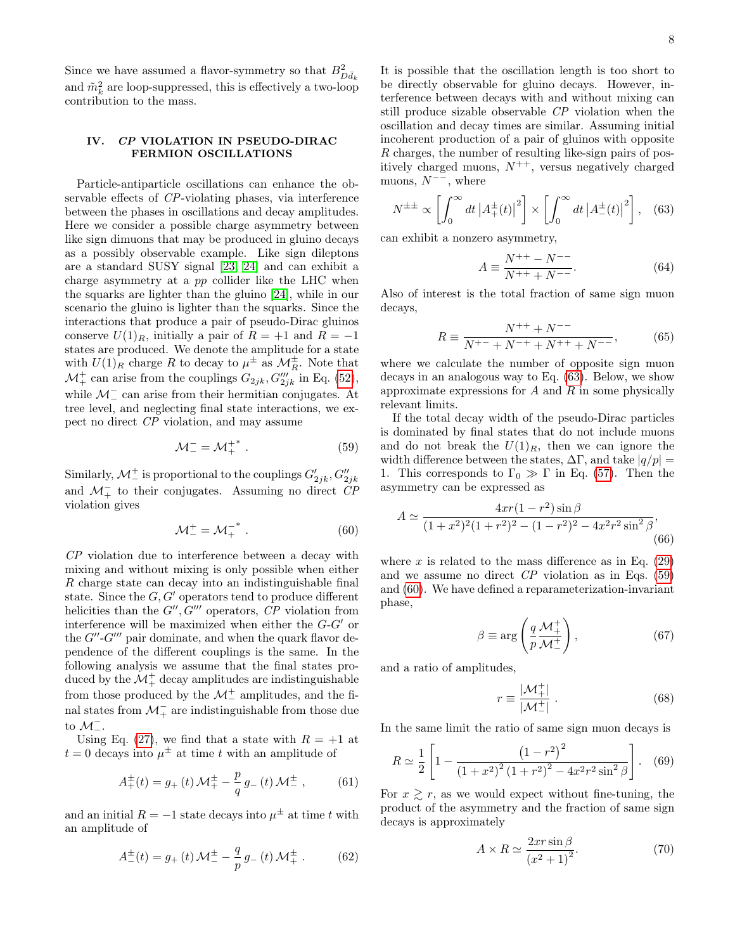Since we have assumed a flavor-symmetry so that  $B^2_{D\bar d_k}$ and  $\tilde{m}_k^2$  are loop-suppressed, this is effectively a two-loop contribution to the mass.

# <span id="page-7-0"></span>IV. CP VIOLATION IN PSEUDO-DIRAC FERMION OSCILLATIONS

Particle-antiparticle oscillations can enhance the observable effects of CP-violating phases, via interference between the phases in oscillations and decay amplitudes. Here we consider a possible charge asymmetry between like sign dimuons that may be produced in gluino decays as a possibly observable example. Like sign dileptons are a standard SUSY signal [\[23,](#page-10-22) [24\]](#page-10-23) and can exhibit a charge asymmetry at a pp collider like the LHC when the squarks are lighter than the gluino [\[24\]](#page-10-23), while in our scenario the gluino is lighter than the squarks. Since the interactions that produce a pair of pseudo-Dirac gluinos conserve  $U(1)_R$ , initially a pair of  $R = +1$  and  $R = -1$ states are produced. We denote the amplitude for a state with  $U(1)_R$  charge R to decay to  $\mu^{\pm}$  as  $\mathcal{M}_R^{\pm}$ . Note that  $\mathcal{M}^+$  can arise from the couplings  $G_{2jk}, G'''_{2jk}$  in Eq. [\(52\)](#page-6-0), while  $\mathcal{M}^-_-$  can arise from their hermitian conjugates. At tree level, and neglecting final state interactions, we expect no direct CP violation, and may assume

<span id="page-7-2"></span>
$$
\mathcal{M}^-_- = \mathcal{M}^{+*}_+ \ . \tag{59}
$$

Similarly,  $\mathcal{M}^{\pm}_{-}$  is proportional to the couplings  $G'_{2jk}, G''_{2jk}$ and  $\mathcal{M}_+^-$  to their conjugates. Assuming no direct  $\overline{CP}$ violation gives

<span id="page-7-3"></span>
$$
\mathcal{M}^+_- = \mathcal{M}^{-*}_+ \ . \tag{60}
$$

CP violation due to interference between a decay with mixing and without mixing is only possible when either R charge state can decay into an indistinguishable final state. Since the  $G, G'$  operators tend to produce different helicities than the  $G''$ ,  $G'''$  operators,  $CP$  violation from interference will be maximized when either the  $G-G'$  or the  $G''$ - $G'''$  pair dominate, and when the quark flavor dependence of the different couplings is the same. In the following analysis we assume that the final states produced by the  $\mathcal{M}^+_+$  decay amplitudes are indistinguishable from those produced by the  $\mathcal{M}^+_-$  amplitudes, and the final states from  $\mathcal{M}_+^-$  are indistinguishable from those due to  $\mathcal{M}^-$ .

Using Eq. [\(27\)](#page-4-3), we find that a state with  $R = +1$  at  $t = 0$  decays into  $\mu^{\pm}$  at time t with an amplitude of

$$
A_{+}^{\pm}(t) = g_{+}(t) \mathcal{M}_{+}^{\pm} - \frac{p}{q} g_{-}(t) \mathcal{M}_{-}^{\pm} ,\qquad (61)
$$

and an initial  $R = -1$  state decays into  $\mu^{\pm}$  at time t with an amplitude of

$$
A_{-}^{\pm}(t) = g_{+}(t) \mathcal{M}_{-}^{\pm} - \frac{q}{p} g_{-}(t) \mathcal{M}_{+}^{\pm} . \tag{62}
$$

It is possible that the oscillation length is too short to be directly observable for gluino decays. However, interference between decays with and without mixing can still produce sizable observable CP violation when the oscillation and decay times are similar. Assuming initial incoherent production of a pair of gluinos with opposite R charges, the number of resulting like-sign pairs of positively charged muons,  $N^{++}$ , versus negatively charged muons,  $N^{--}$ , where

$$
N^{\pm \pm} \propto \left[ \int_0^\infty dt \left| A_+^\pm(t) \right|^2 \right] \times \left[ \int_0^\infty dt \left| A_-^\pm(t) \right|^2 \right], \quad (63)
$$

can exhibit a nonzero asymmetry,

<span id="page-7-5"></span><span id="page-7-4"></span><span id="page-7-1"></span>
$$
A \equiv \frac{N^{++} - N^{--}}{N^{++} + N^{--}}.\tag{64}
$$

Also of interest is the total fraction of same sign muon decays,

$$
R \equiv \frac{N^{++} + N^{--}}{N^{+-} + N^{-+} + N^{++} + N^{--}},\tag{65}
$$

where we calculate the number of opposite sign muon decays in an analogous way to Eq. [\(63\)](#page-7-1). Below, we show approximate expressions for  $A$  and  $R$  in some physically relevant limits.

If the total decay width of the pseudo-Dirac particles is dominated by final states that do not include muons and do not break the  $U(1)_R$ , then we can ignore the width difference between the states,  $\Delta\Gamma$ , and take  $|q/p| =$ 1. This corresponds to  $\Gamma_0 \gg \Gamma$  in Eq. [\(57\)](#page-6-4). Then the asymmetry can be expressed as

$$
A \simeq \frac{4xr(1-r^2)\sin\beta}{(1+x^2)^2(1+r^2)^2 - (1-r^2)^2 - 4x^2r^2\sin^2\beta},
$$
\n(66)

where  $x$  is related to the mass difference as in Eq. [\(29\)](#page-4-4) and we assume no direct  $\mathbb{CP}$  violation as in Eqs. [\(59\)](#page-7-2) and [\(60\)](#page-7-3). We have defined a reparameterization-invariant phase,

$$
\beta \equiv \arg\left(\frac{q}{p}\frac{\mathcal{M}_{+}^{+}}{\mathcal{M}_{-}^{+}}\right),\tag{67}
$$

and a ratio of amplitudes,

$$
r \equiv \frac{|\mathcal{M}_{+}^{+}|}{|\mathcal{M}_{-}^{+}|} \,. \tag{68}
$$

In the same limit the ratio of same sign muon decays is

$$
R \simeq \frac{1}{2} \left[ 1 - \frac{\left(1 - r^2\right)^2}{\left(1 + x^2\right)^2 \left(1 + r^2\right)^2 - 4x^2 r^2 \sin^2 \beta} \right]. \tag{69}
$$

For  $x \geq r$ , as we would expect without fine-tuning, the product of the asymmetry and the fraction of same sign decays is approximately

$$
A \times R \simeq \frac{2xr\sin\beta}{\left(x^2 + 1\right)^2}.\tag{70}
$$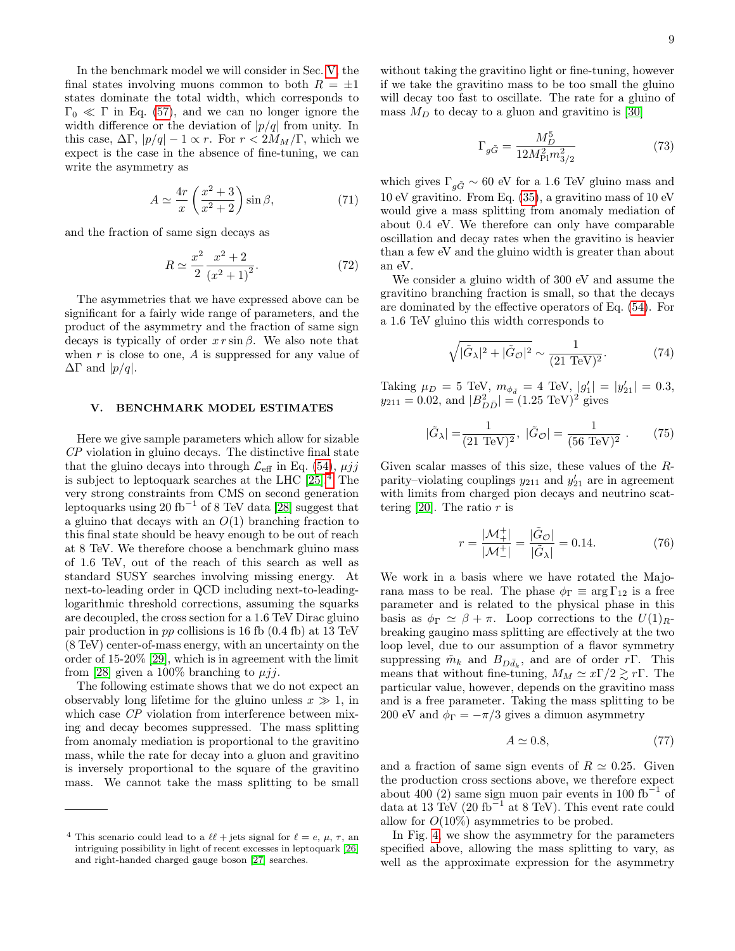In the benchmark model we will consider in Sec. [V,](#page-8-0) the final states involving muons common to both  $R = \pm 1$ states dominate the total width, which corresponds to  $\Gamma_0 \ll \Gamma$  in Eq. [\(57\)](#page-6-4), and we can no longer ignore the width difference or the deviation of  $|p/q|$  from unity. In this case,  $\Delta \Gamma$ ,  $|p/q| - 1 \propto r$ . For  $r < 2M_M/\Gamma$ , which we expect is the case in the absence of fine-tuning, we can write the asymmetry as

$$
A \simeq \frac{4r}{x} \left( \frac{x^2 + 3}{x^2 + 2} \right) \sin \beta, \tag{71}
$$

and the fraction of same sign decays as

$$
R \simeq \frac{x^2}{2} \frac{x^2 + 2}{(x^2 + 1)^2}.
$$
 (72)

The asymmetries that we have expressed above can be significant for a fairly wide range of parameters, and the product of the asymmetry and the fraction of same sign decays is typically of order  $x r \sin \beta$ . We also note that when  $r$  is close to one,  $A$  is suppressed for any value of  $\Delta\Gamma$  and  $|p/q|$ .

# <span id="page-8-0"></span>V. BENCHMARK MODEL ESTIMATES

Here we give sample parameters which allow for sizable CP violation in gluino decays. The distinctive final state that the gluino decays into through  $\mathcal{L}_{\text{eff}}$  in Eq. [\(54\)](#page-6-3),  $\mu jj$ is subject to leptoquark searches at the LHC [\[25\]](#page-11-0).[4](#page-8-1) The very strong constraints from CMS on second generation leptoquarks using 20 fb<sup>-1</sup> of 8 TeV data [\[28\]](#page-11-1) suggest that a gluino that decays with an  $O(1)$  branching fraction to this final state should be heavy enough to be out of reach at 8 TeV. We therefore choose a benchmark gluino mass of 1.6 TeV, out of the reach of this search as well as standard SUSY searches involving missing energy. At next-to-leading order in QCD including next-to-leadinglogarithmic threshold corrections, assuming the squarks are decoupled, the cross section for a 1.6 TeV Dirac gluino pair production in pp collisions is 16 fb (0.4 fb) at 13 TeV (8 TeV) center-of-mass energy, with an uncertainty on the order of 15-20% [\[29\]](#page-11-2), which is in agreement with the limit from [\[28\]](#page-11-1) given a 100% branching to  $\mu j j$ .

The following estimate shows that we do not expect an observably long lifetime for the gluino unless  $x \gg 1$ , in which case CP violation from interference between mixing and decay becomes suppressed. The mass splitting from anomaly mediation is proportional to the gravitino mass, while the rate for decay into a gluon and gravitino is inversely proportional to the square of the gravitino mass. We cannot take the mass splitting to be small

without taking the gravitino light or fine-tuning, however if we take the gravitino mass to be too small the gluino will decay too fast to oscillate. The rate for a gluino of mass  $M_D$  to decay to a gluon and gravitino is [\[30\]](#page-11-5)

<span id="page-8-4"></span>
$$
\Gamma_{g\tilde{G}} = \frac{M_D^5}{12M_{\rm Pl}^2 m_{3/2}^2} \tag{73}
$$

<span id="page-8-2"></span>which gives  $\Gamma_{q\tilde{G}} \sim 60$  eV for a 1.6 TeV gluino mass and 10 eV gravitino. From Eq. [\(35\)](#page-5-1), a gravitino mass of 10 eV would give a mass splitting from anomaly mediation of about 0.4 eV. We therefore can only have comparable oscillation and decay rates when the gravitino is heavier than a few eV and the gluino width is greater than about an eV.

<span id="page-8-3"></span>We consider a gluino width of 300 eV and assume the gravitino branching fraction is small, so that the decays are dominated by the effective operators of Eq. [\(54\)](#page-6-3). For a 1.6 TeV gluino this width corresponds to

$$
\sqrt{|\tilde{G}_{\lambda}|^2 + |\tilde{G}_{\mathcal{O}}|^2} \sim \frac{1}{(21 \text{ TeV})^2}.
$$
 (74)

Taking  $\mu_D = 5$  TeV,  $m_{\phi_d} = 4$  TeV,  $|g'_1| = |y'_{21}| = 0.3$ ,  $y_{211} = 0.02$ , and  $|B_{D\bar{D}}^2| = (1.25 \text{ TeV})^2$  gives

$$
|\tilde{G}_{\lambda}| = \frac{1}{(21 \text{ TeV})^2}, \ |\tilde{G}_{\mathcal{O}}| = \frac{1}{(56 \text{ TeV})^2} . \tag{75}
$$

Given scalar masses of this size, these values of the Rparity–violating couplings  $y_{211}$  and  $y'_{21}$  are in agreement with limits from charged pion decays and neutrino scat-tering [\[20\]](#page-10-19). The ratio  $r$  is

$$
r = \frac{|\mathcal{M}_{+}^{+}|}{|\mathcal{M}_{-}^{+}|} = \frac{|\tilde{G}_{\mathcal{O}}|}{|\tilde{G}_{\lambda}|} = 0.14.
$$
 (76)

We work in a basis where we have rotated the Majorana mass to be real. The phase  $\phi_{\Gamma} \equiv \arg \Gamma_{12}$  is a free parameter and is related to the physical phase in this basis as  $\phi_{\Gamma} \simeq \beta + \pi$ . Loop corrections to the  $U(1)_{R}$ breaking gaugino mass splitting are effectively at the two loop level, due to our assumption of a flavor symmetry suppressing  $\tilde{m}_k$  and  $B_{D\bar{d}_k}$ , and are of order rΓ. This means that without fine-tuning,  $M_M \simeq x\Gamma/2 \gtrsim r\Gamma$ . The particular value, however, depends on the gravitino mass and is a free parameter. Taking the mass splitting to be 200 eV and  $\phi_{\Gamma} = -\pi/3$  gives a dimuon asymmetry

$$
A \simeq 0.8,\tag{77}
$$

and a fraction of same sign events of  $R \simeq 0.25$ . Given the production cross sections above, we therefore expect about 400 (2) same sign muon pair events in 100  $fb^{-1}$  of data at 13 TeV (20 fb<sup> $-1$ </sup> at 8 TeV). This event rate could allow for  $O(10\%)$  asymmetries to be probed.

In Fig. [4,](#page-9-1) we show the asymmetry for the parameters specified above, allowing the mass splitting to vary, as well as the approximate expression for the asymmetry

<span id="page-8-1"></span><sup>&</sup>lt;sup>4</sup> This scenario could lead to a  $\ell \ell$  + jets signal for  $\ell = e, \mu, \tau$ , an intriguing possibility in light of recent excesses in leptoquark [\[26\]](#page-11-3) and right-handed charged gauge boson [\[27\]](#page-11-4) searches.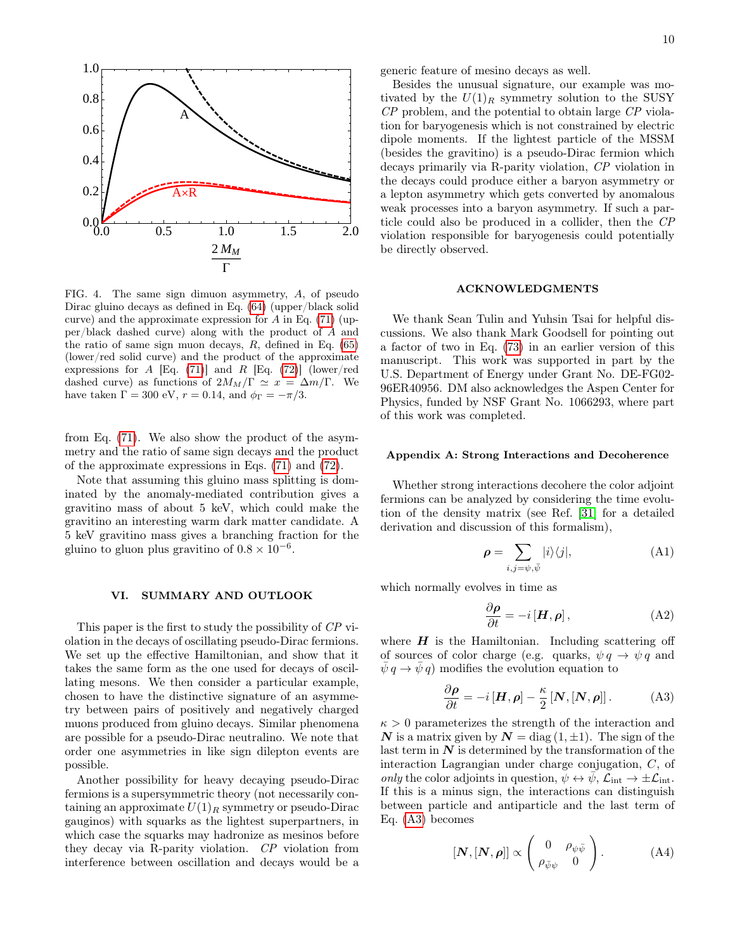

<span id="page-9-1"></span>FIG. 4. The same sign dimuon asymmetry, A, of pseudo Dirac gluino decays as defined in Eq. [\(64\)](#page-7-4) (upper/black solid curve) and the approximate expression for  $A$  in Eq. [\(71\)](#page-8-2) (upper/black dashed curve) along with the product of A and the ratio of same sign muon decays,  $R$ , defined in Eq. [\(65\)](#page-7-5) (lower/red solid curve) and the product of the approximate expressions for A [Eq. [\(71\)](#page-8-2)] and R [Eq. [\(72\)](#page-8-3)] (lower/red dashed curve) as functions of  $2M_M/\Gamma \simeq x = \Delta m/\Gamma$ . We have taken  $\Gamma = 300 \text{ eV}, r = 0.14, \text{ and } \phi_{\Gamma} = -\pi/3.$ 

from Eq. [\(71\)](#page-8-2). We also show the product of the asymmetry and the ratio of same sign decays and the product of the approximate expressions in Eqs. [\(71\)](#page-8-2) and [\(72\)](#page-8-3).

Note that assuming this gluino mass splitting is dominated by the anomaly-mediated contribution gives a gravitino mass of about 5 keV, which could make the gravitino an interesting warm dark matter candidate. A 5 keV gravitino mass gives a branching fraction for the gluino to gluon plus gravitino of  $0.8 \times 10^{-6}$ .

### <span id="page-9-0"></span>VI. SUMMARY AND OUTLOOK

This paper is the first to study the possibility of CP violation in the decays of oscillating pseudo-Dirac fermions. We set up the effective Hamiltonian, and show that it takes the same form as the one used for decays of oscillating mesons. We then consider a particular example, chosen to have the distinctive signature of an asymmetry between pairs of positively and negatively charged muons produced from gluino decays. Similar phenomena are possible for a pseudo-Dirac neutralino. We note that order one asymmetries in like sign dilepton events are possible.

Another possibility for heavy decaying pseudo-Dirac fermions is a supersymmetric theory (not necessarily containing an approximate  $U(1)_R$  symmetry or pseudo-Dirac gauginos) with squarks as the lightest superpartners, in which case the squarks may hadronize as mesinos before they decay via R-parity violation. CP violation from interference between oscillation and decays would be a generic feature of mesino decays as well.

Besides the unusual signature, our example was motivated by the  $U(1)_R$  symmetry solution to the SUSY CP problem, and the potential to obtain large CP violation for baryogenesis which is not constrained by electric dipole moments. If the lightest particle of the MSSM (besides the gravitino) is a pseudo-Dirac fermion which decays primarily via R-parity violation, CP violation in the decays could produce either a baryon asymmetry or a lepton asymmetry which gets converted by anomalous weak processes into a baryon asymmetry. If such a particle could also be produced in a collider, then the CP violation responsible for baryogenesis could potentially be directly observed.

#### ACKNOWLEDGMENTS

We thank Sean Tulin and Yuhsin Tsai for helpful discussions. We also thank Mark Goodsell for pointing out a factor of two in Eq. [\(73\)](#page-8-4) in an earlier version of this manuscript. This work was supported in part by the U.S. Department of Energy under Grant No. DE-FG02- 96ER40956. DM also acknowledges the Aspen Center for Physics, funded by NSF Grant No. 1066293, where part of this work was completed.

#### Appendix A: Strong Interactions and Decoherence

Whether strong interactions decohere the color adjoint fermions can be analyzed by considering the time evolution of the density matrix (see Ref. [\[31\]](#page-11-6) for a detailed derivation and discussion of this formalism),

$$
\rho = \sum_{i,j=\psi,\bar{\psi}} |i\rangle\langle j|,\tag{A1}
$$

which normally evolves in time as

$$
\frac{\partial \rho}{\partial t} = -i [\mathbf{H}, \rho], \tag{A2}
$$

where  $H$  is the Hamiltonian. Including scattering off of sources of color charge (e.g. quarks,  $\psi q \rightarrow \psi q$  and  $\psi q \rightarrow \psi q$  modifies the evolution equation to

<span id="page-9-2"></span>
$$
\frac{\partial \rho}{\partial t} = -i[H, \rho] - \frac{\kappa}{2} [N, [N, \rho]]. \tag{A3}
$$

 $\kappa > 0$  parameterizes the strength of the interaction and N is a matrix given by  $N = \text{diag}(1, \pm 1)$ . The sign of the last term in  $N$  is determined by the transformation of the interaction Lagrangian under charge conjugation, C, of only the color adjoints in question,  $\psi \leftrightarrow \bar{\psi}$ ,  $\mathcal{L}_{int} \rightarrow \pm \mathcal{L}_{int}$ . If this is a minus sign, the interactions can distinguish between particle and antiparticle and the last term of Eq. [\(A3\)](#page-9-2) becomes

$$
[\boldsymbol{N},[\boldsymbol{N},\boldsymbol{\rho}]] \propto \begin{pmatrix} 0 & \rho_{\psi\bar{\psi}} \\ \rho_{\bar{\psi}\psi} & 0 \end{pmatrix} . \tag{A4}
$$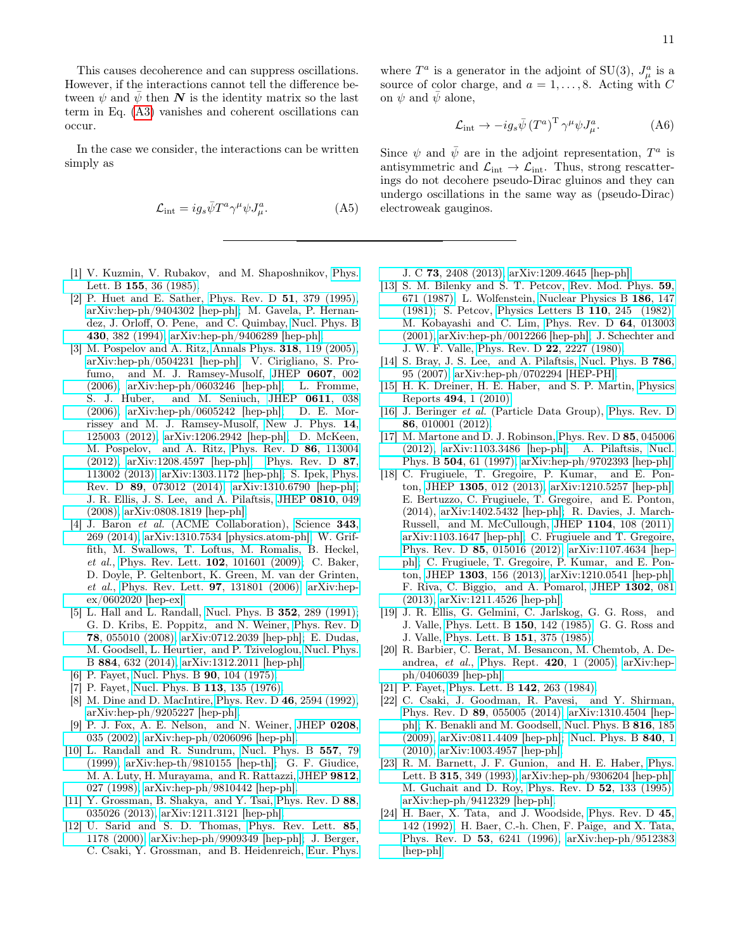This causes decoherence and can suppress oscillations. However, if the interactions cannot tell the difference between  $\psi$  and  $\bar{\psi}$  then N is the identity matrix so the last term in Eq. [\(A3\)](#page-9-2) vanishes and coherent oscillations can occur.

In the case we consider, the interactions can be written simply as

$$
\mathcal{L}_{\text{int}} = ig_s \bar{\psi} T^a \gamma^\mu \psi J_\mu^a. \tag{A5}
$$

- <span id="page-10-0"></span>[1] V. Kuzmin, V. Rubakov, and M. Shaposhnikov, [Phys.](http://dx.doi.org/10.1016/0370-2693(85)91028-7) Lett. B 155[, 36 \(1985\).](http://dx.doi.org/10.1016/0370-2693(85)91028-7)
- <span id="page-10-1"></span>[2] P. Huet and E. Sather, [Phys. Rev. D](http://dx.doi.org/10.1103/PhysRevD.51.379) 51, 379 (1995), [arXiv:hep-ph/9404302 \[hep-ph\];](http://arxiv.org/abs/hep-ph/9404302) M. Gavela, P. Hernandez, J. Orloff, O. Pene, and C. Quimbay, [Nucl. Phys. B](http://dx.doi.org/ 10.1016/0550-3213(94)00410-2) 430[, 382 \(1994\),](http://dx.doi.org/ 10.1016/0550-3213(94)00410-2) [arXiv:hep-ph/9406289 \[hep-ph\].](http://arxiv.org/abs/hep-ph/9406289)
- <span id="page-10-2"></span>[3] M. Pospelov and A. Ritz, [Annals Phys.](http://dx.doi.org/10.1016/j.aop.2005.04.002) **318**, 119 (2005), [arXiv:hep-ph/0504231 \[hep-ph\];](http://arxiv.org/abs/hep-ph/0504231) V. Cirigliano, S. Profumo, and M. J. Ramsey-Musolf, [JHEP](http://dx.doi.org/10.1088/1126-6708/2006/07/002) 0607, 002 [\(2006\),](http://dx.doi.org/10.1088/1126-6708/2006/07/002) [arXiv:hep-ph/0603246 \[hep-ph\];](http://arxiv.org/abs/hep-ph/0603246) L. Fromme, S. J. Huber, and M. Seniuch, [JHEP](http://dx.doi.org/10.1088/1126-6708/2006/11/038) 0611, 038 [\(2006\),](http://dx.doi.org/10.1088/1126-6708/2006/11/038) [arXiv:hep-ph/0605242 \[hep-ph\];](http://arxiv.org/abs/hep-ph/0605242) D. E. Morrissey and M. J. Ramsey-Musolf, [New J. Phys.](http://dx.doi.org/10.1088/1367-2630/14/12/125003) 14, [125003 \(2012\),](http://dx.doi.org/10.1088/1367-2630/14/12/125003) [arXiv:1206.2942 \[hep-ph\];](http://arxiv.org/abs/1206.2942) D. McKeen, M. Pospelov, and A. Ritz, [Phys. Rev. D](http://dx.doi.org/10.1103/PhysRevD.86.113004) 86, 113004 [\(2012\),](http://dx.doi.org/10.1103/PhysRevD.86.113004) [arXiv:1208.4597 \[hep-ph\];](http://arxiv.org/abs/1208.4597) [Phys. Rev. D](http://dx.doi.org/10.1103/PhysRevD.87.113002) 87, [113002 \(2013\),](http://dx.doi.org/10.1103/PhysRevD.87.113002) [arXiv:1303.1172 \[hep-ph\];](http://arxiv.org/abs/1303.1172) S. Ipek, [Phys.](http://dx.doi.org/10.1103/PhysRevD.89.073012) Rev. D 89[, 073012 \(2014\),](http://dx.doi.org/10.1103/PhysRevD.89.073012) [arXiv:1310.6790 \[hep-ph\];](http://arxiv.org/abs/1310.6790) J. R. Ellis, J. S. Lee, and A. Pilaftsis, [JHEP](http://dx.doi.org/10.1088/1126-6708/2008/10/049) 0810, 049 [\(2008\),](http://dx.doi.org/10.1088/1126-6708/2008/10/049) [arXiv:0808.1819 \[hep-ph\].](http://arxiv.org/abs/0808.1819)
- <span id="page-10-3"></span>[4] J. Baron et al. (ACME Collaboration), [Science](http://dx.doi.org/10.1126/science.1248213) 343, [269 \(2014\),](http://dx.doi.org/10.1126/science.1248213) [arXiv:1310.7534 \[physics.atom-ph\];](http://arxiv.org/abs/1310.7534) W. Griffith, M. Swallows, T. Loftus, M. Romalis, B. Heckel, et al., [Phys. Rev. Lett.](http://dx.doi.org/10.1103/PhysRevLett.102.101601) 102, 101601 (2009); C. Baker, D. Doyle, P. Geltenbort, K. Green, M. van der Grinten, et al., [Phys. Rev. Lett.](http://dx.doi.org/10.1103/PhysRevLett.97.131801) 97, 131801 (2006), [arXiv:hep](http://arxiv.org/abs/hep-ex/0602020)[ex/0602020 \[hep-ex\].](http://arxiv.org/abs/hep-ex/0602020)
- <span id="page-10-4"></span>[5] L. Hall and L. Randall, [Nucl. Phys. B](http://dx.doi.org/10.1016/0550-3213(91)90444-3) **352**, 289 (1991); G. D. Kribs, E. Poppitz, and N. Weiner, [Phys. Rev. D](http://dx.doi.org/10.1103/PhysRevD.78.055010) 78[, 055010 \(2008\),](http://dx.doi.org/10.1103/PhysRevD.78.055010) [arXiv:0712.2039 \[hep-ph\];](http://arxiv.org/abs/0712.2039) E. Dudas, M. Goodsell, L. Heurtier, and P. Tziveloglou, [Nucl. Phys.](http://dx.doi.org/10.1016/j.nuclphysb.2014.05.005) B 884[, 632 \(2014\),](http://dx.doi.org/10.1016/j.nuclphysb.2014.05.005) [arXiv:1312.2011 \[hep-ph\].](http://arxiv.org/abs/1312.2011)
- <span id="page-10-5"></span>[6] P. Fayet, [Nucl. Phys. B](http://dx.doi.org/10.1016/0550-3213(75)90636-7) 90, 104 (1975).
- <span id="page-10-6"></span>[7] P. Fayet, [Nucl. Phys. B](http://dx.doi.org/10.1016/0550-3213(76)90458-2) 113, 135 (1976).
- <span id="page-10-7"></span>[8] M. Dine and D. MacIntire, [Phys. Rev. D](http://dx.doi.org/10.1103/PhysRevD.46.2594) 46, 2594 (1992), [arXiv:hep-ph/9205227 \[hep-ph\].](http://arxiv.org/abs/hep-ph/9205227)
- <span id="page-10-8"></span>[9] P. J. Fox, A. E. Nelson, and N. Weiner, [JHEP](http://dx.doi.org/10.1088/1126-6708/2002/08/035) 0208, [035 \(2002\),](http://dx.doi.org/10.1088/1126-6708/2002/08/035) [arXiv:hep-ph/0206096 \[hep-ph\].](http://arxiv.org/abs/hep-ph/0206096)
- <span id="page-10-9"></span>[10] L. Randall and R. Sundrum, [Nucl. Phys. B](http://dx.doi.org/10.1016/S0550-3213(99)00359-4) 557, 79 [\(1999\),](http://dx.doi.org/10.1016/S0550-3213(99)00359-4) [arXiv:hep-th/9810155 \[hep-th\];](http://arxiv.org/abs/hep-th/9810155) G. F. Giudice, M. A. Luty, H. Murayama, and R. Rattazzi, [JHEP](http://dx.doi.org/10.1088/1126-6708/1998/12/027) 9812, [027 \(1998\),](http://dx.doi.org/10.1088/1126-6708/1998/12/027) [arXiv:hep-ph/9810442 \[hep-ph\].](http://arxiv.org/abs/hep-ph/9810442)
- <span id="page-10-10"></span>[11] Y. Grossman, B. Shakya, and Y. Tsai, [Phys. Rev. D](http://dx.doi.org/10.1103/PhysRevD.88.035026) 88, [035026 \(2013\),](http://dx.doi.org/10.1103/PhysRevD.88.035026) [arXiv:1211.3121 \[hep-ph\].](http://arxiv.org/abs/1211.3121)
- <span id="page-10-11"></span>[12] U. Sarid and S. D. Thomas, [Phys. Rev. Lett.](http://dx.doi.org/10.1103/PhysRevLett.85.1178) 85, [1178 \(2000\),](http://dx.doi.org/10.1103/PhysRevLett.85.1178) [arXiv:hep-ph/9909349 \[hep-ph\];](http://arxiv.org/abs/hep-ph/9909349) J. Berger, C. Csaki, Y. Grossman, and B. Heidenreich, [Eur. Phys.](http://dx.doi.org/10.1140/epjc/s10052-013-2408-8)

where  $T^a$  is a generator in the adjoint of SU(3),  $J^a_\mu$  is a source of color charge, and  $a = 1, \ldots, 8$ . Acting with C on  $\psi$  and  $\bar{\psi}$  alone,

$$
\mathcal{L}_{\text{int}} \to -ig_s\bar{\psi} \left(T^a\right)^T \gamma^\mu \psi J_\mu^a. \tag{A6}
$$

Since  $\psi$  and  $\bar{\psi}$  are in the adjoint representation,  $T^a$  is antisymmetric and  $\mathcal{L}_{int} \rightarrow \mathcal{L}_{int}$ . Thus, strong rescatterings do not decohere pseudo-Dirac gluinos and they can undergo oscillations in the same way as (pseudo-Dirac) electroweak gauginos.

J. C 73[, 2408 \(2013\),](http://dx.doi.org/10.1140/epjc/s10052-013-2408-8) [arXiv:1209.4645 \[hep-ph\].](http://arxiv.org/abs/1209.4645)

- <span id="page-10-12"></span>[13] S. M. Bilenky and S. T. Petcov, [Rev. Mod. Phys.](http://dx.doi.org/10.1103/RevModPhys.59.671) 59, [671 \(1987\);](http://dx.doi.org/10.1103/RevModPhys.59.671) L. Wolfenstein, [Nuclear Physics B](http://dx.doi.org/ http://dx.doi.org/10.1016/0550-3213(81)90096-1) 186, 147 [\(1981\);](http://dx.doi.org/ http://dx.doi.org/10.1016/0550-3213(81)90096-1) S. Petcov, [Physics Letters B](http://dx.doi.org/http://dx.doi.org/10.1016/0370-2693(82)91246-1) 110, 245 (1982); M. Kobayashi and C. Lim, [Phys. Rev. D](http://dx.doi.org/10.1103/PhysRevD.64.013003) 64, 013003 [\(2001\),](http://dx.doi.org/10.1103/PhysRevD.64.013003) [arXiv:hep-ph/0012266 \[hep-ph\];](http://arxiv.org/abs/hep-ph/0012266) J. Schechter and J. W. F. Valle, [Phys. Rev. D](http://dx.doi.org/10.1103/PhysRevD.22.2227) 22, 2227 (1980).
- <span id="page-10-13"></span>[14] S. Bray, J. S. Lee, and A. Pilaftsis, [Nucl. Phys. B](http://dx.doi.org/10.1016/j.nuclphysb.2007.07.002) 786, [95 \(2007\),](http://dx.doi.org/10.1016/j.nuclphysb.2007.07.002) [arXiv:hep-ph/0702294 \[HEP-PH\].](http://arxiv.org/abs/hep-ph/0702294)
- <span id="page-10-14"></span>[15] H. K. Dreiner, H. E. Haber, and S. P. Martin, [Physics](http://dx.doi.org/10.1016/j.physrep.2010.05.002) Reports 494[, 1 \(2010\).](http://dx.doi.org/10.1016/j.physrep.2010.05.002)
- <span id="page-10-15"></span>[16] J. Beringer et al. (Particle Data Group), [Phys. Rev. D](http://dx.doi.org/10.1103/PhysRevD.86.010001) 86[, 010001 \(2012\).](http://dx.doi.org/10.1103/PhysRevD.86.010001)
- <span id="page-10-16"></span>[17] M. Martone and D. J. Robinson, [Phys. Rev. D](http://dx.doi.org/10.1103/PhysRevD.85.045006) 85, 045006 [\(2012\),](http://dx.doi.org/10.1103/PhysRevD.85.045006) [arXiv:1103.3486 \[hep-ph\];](http://arxiv.org/abs/1103.3486) A. Pilaftsis, [Nucl.](http://dx.doi.org/10.1016/S0550-3213(97)00469-0) Phys. B 504[, 61 \(1997\),](http://dx.doi.org/10.1016/S0550-3213(97)00469-0) [arXiv:hep-ph/9702393 \[hep-ph\].](http://arxiv.org/abs/hep-ph/9702393)
- <span id="page-10-17"></span>[18] C. Frugiuele, T. Gregoire, P. Kumar, and E. Ponton, JHEP 1305[, 012 \(2013\),](http://dx.doi.org/ 10.1007/JHEP05(2013)012) [arXiv:1210.5257 \[hep-ph\];](http://arxiv.org/abs/1210.5257) E. Bertuzzo, C. Frugiuele, T. Gregoire, and E. Ponton, (2014), [arXiv:1402.5432 \[hep-ph\];](http://arxiv.org/abs/1402.5432) R. Davies, J. March-Russell, and M. McCullough, JHEP 1104[, 108 \(2011\),](http://dx.doi.org/10.1007/JHEP04(2011)108) [arXiv:1103.1647 \[hep-ph\];](http://arxiv.org/abs/1103.1647) C. Frugiuele and T. Gregoire, Phys. Rev. D 85[, 015016 \(2012\),](http://dx.doi.org/10.1103/PhysRevD.85.015016) [arXiv:1107.4634 \[hep](http://arxiv.org/abs/1107.4634)[ph\];](http://arxiv.org/abs/1107.4634) C. Frugiuele, T. Gregoire, P. Kumar, and E. Ponton, JHEP 1303[, 156 \(2013\),](http://dx.doi.org/ 10.1007/JHEP03(2013)156) [arXiv:1210.0541 \[hep-ph\];](http://arxiv.org/abs/1210.0541) F. Riva, C. Biggio, and A. Pomarol, [JHEP](http://dx.doi.org/10.1007/JHEP02(2013)081) 1302, 081 [\(2013\),](http://dx.doi.org/10.1007/JHEP02(2013)081) [arXiv:1211.4526 \[hep-ph\].](http://arxiv.org/abs/1211.4526)
- <span id="page-10-18"></span>[19] J. R. Ellis, G. Gelmini, C. Jarlskog, G. G. Ross, and J. Valle, [Phys. Lett. B](http://dx.doi.org/ 10.1016/0370-2693(85)90157-1) 150, 142 (1985); G. G. Ross and J. Valle, [Phys. Lett. B](http://dx.doi.org/10.1016/0370-2693(85)91658-2) 151, 375 (1985).
- <span id="page-10-19"></span>[20] R. Barbier, C. Berat, M. Besancon, M. Chemtob, A. De-andrea, et al., [Phys. Rept.](http://dx.doi.org/10.1016/j.physrep.2005.08.006)  $420$ , 1 (2005), [arXiv:hep](http://arxiv.org/abs/hep-ph/0406039)[ph/0406039 \[hep-ph\].](http://arxiv.org/abs/hep-ph/0406039)
- <span id="page-10-20"></span>[21] P. Fayet, [Phys. Lett. B](http://dx.doi.org/10.1016/0370-2693(84)91195-X) **142**, 263 (1984).
- <span id="page-10-21"></span>[22] C. Csaki, J. Goodman, R. Pavesi, and Y. Shirman, Phys. Rev. D 89[, 055005 \(2014\),](http://dx.doi.org/ 10.1103/PhysRevD.89.055005) [arXiv:1310.4504 \[hep](http://arxiv.org/abs/1310.4504)[ph\];](http://arxiv.org/abs/1310.4504) K. Benakli and M. Goodsell, [Nucl. Phys. B](http://dx.doi.org/10.1016/j.nuclphysb.2009.03.002) 816, 185 [\(2009\),](http://dx.doi.org/10.1016/j.nuclphysb.2009.03.002) [arXiv:0811.4409 \[hep-ph\];](http://arxiv.org/abs/0811.4409) [Nucl. Phys. B](http://dx.doi.org/10.1016/j.nuclphysb.2010.06.018) 840, 1 [\(2010\),](http://dx.doi.org/10.1016/j.nuclphysb.2010.06.018) [arXiv:1003.4957 \[hep-ph\].](http://arxiv.org/abs/1003.4957)
- <span id="page-10-22"></span>[23] R. M. Barnett, J. F. Gunion, and H. E. Haber, [Phys.](http://dx.doi.org/10.1016/0370-2693(93)91623-U) Lett. B 315[, 349 \(1993\),](http://dx.doi.org/10.1016/0370-2693(93)91623-U) [arXiv:hep-ph/9306204 \[hep-ph\];](http://arxiv.org/abs/hep-ph/9306204) M. Guchait and D. Roy, [Phys. Rev. D](http://dx.doi.org/10.1103/PhysRevD.52.133) 52, 133 (1995), [arXiv:hep-ph/9412329 \[hep-ph\].](http://arxiv.org/abs/hep-ph/9412329)
- <span id="page-10-23"></span>[24] H. Baer, X. Tata, and J. Woodside, [Phys. Rev. D](http://dx.doi.org/10.1103/PhysRevD.45.142) 45, [142 \(1992\);](http://dx.doi.org/10.1103/PhysRevD.45.142) H. Baer, C.-h. Chen, F. Paige, and X. Tata, Phys. Rev. D 53[, 6241 \(1996\),](http://dx.doi.org/ 10.1103/PhysRevD.53.6241) [arXiv:hep-ph/9512383](http://arxiv.org/abs/hep-ph/9512383) [\[hep-ph\].](http://arxiv.org/abs/hep-ph/9512383)